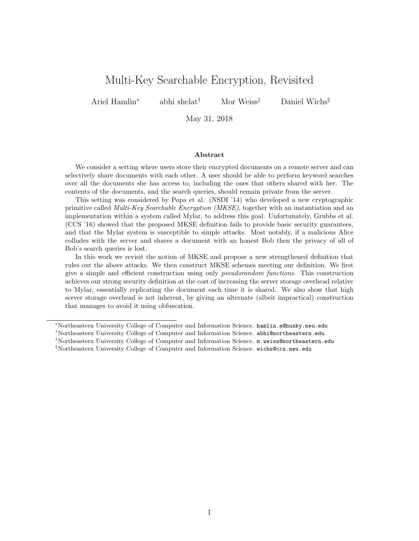# Multi-Key Searchable Encryption, Revisited

Ariel Hamlin<sup>∗</sup> abhi shelat† Mor Weiss‡ Daniel Wichs§

May 31, 2018

#### Abstract

We consider a setting where users store their encrypted documents on a remote server and can selectively share documents with each other. A user should be able to perform keyword searches over all the documents she has access to, including the ones that others shared with her. The contents of the documents, and the search queries, should remain private from the server.

This setting was considered by Popa et al. (NSDI '14) who developed a new cryptographic primitive called *Multi-Key Searchable Encryption (MKSE)*, together with an instantiation and an implementation within a system called Mylar, to address this goal. Unfortunately, Grubbs et al. (CCS '16) showed that the proposed MKSE definition fails to provide basic security guarantees, and that the Mylar system is susceptible to simple attacks. Most notably, if a malicious Alice colludes with the server and shares a document with an honest Bob then the privacy of all of Bob's search queries is lost.

In this work we revisit the notion of MKSE and propose a new strengthened definition that rules out the above attacks. We then construct MKSE schemes meeting our definition. We first give a simple and efficient construction using only *pseudorandom functions*. This construction achieves our strong security definition at the cost of increasing the server storage overhead relative to Mylar, essentially replicating the document each time it is shared. We also show that high server storage overhead is not inherent, by giving an alternate (albeit impractical) construction that manages to avoid it using obfuscation.

<sup>∗</sup>Northeastern University College of Computer and Information Science. hamlin.a@husky.neu.edu

<sup>†</sup>Northeastern University College of Computer and Information Science. abhi@northeastern.edu

<sup>‡</sup>Northeastern University College of Computer and Information Science. m.weiss@northeastern.edu

<sup>§</sup>Northeastern University College of Computer and Information Science. wichs@ccs.neu.edu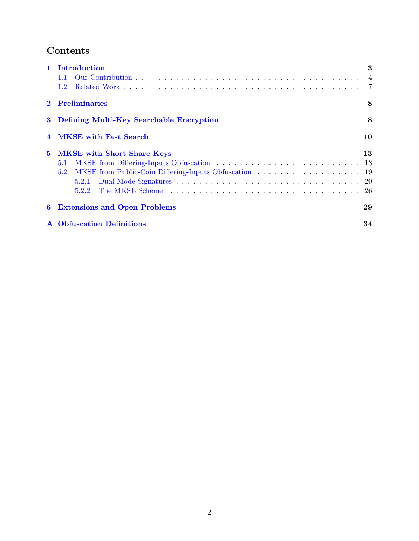# Contents

| $\mathbf{1}$ | Introduction                               | 3   |
|--------------|--------------------------------------------|-----|
|              | 1.1                                        |     |
|              | $1.2^{\circ}$                              |     |
|              | <b>Preliminaries</b>                       | 8   |
|              | 3 Defining Multi-Key Searchable Encryption | 8   |
|              | <b>MKSE</b> with Fast Search               | 10  |
| $\mathbf{5}$ | <b>MKSE</b> with Short Share Keys          | 13  |
|              | 5.1                                        | -13 |
|              | 5.2                                        |     |
|              | 5.2.1                                      |     |
|              | 5.2.2                                      | -26 |
| 6            | <b>Extensions and Open Problems</b>        | 29  |
|              | <b>A</b> Obfuscation Definitions           | 34  |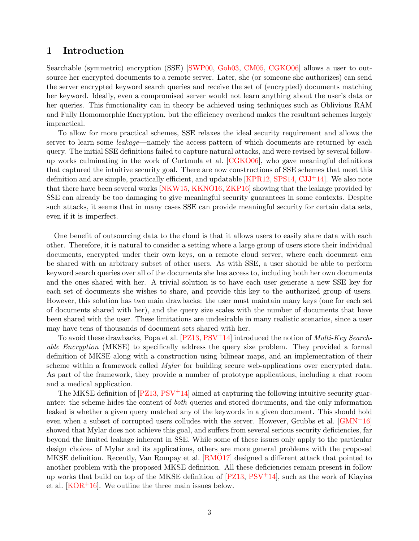### <span id="page-2-0"></span>1 Introduction

Searchable (symmetric) encryption (SSE) [\[SWP00,](#page-33-1) [Goh03,](#page-31-0) [CM05,](#page-31-1) [CGKO06\]](#page-31-2) allows a user to outsource her encrypted documents to a remote server. Later, she (or someone she authorizes) can send the server encrypted keyword search queries and receive the set of (encrypted) documents matching her keyword. Ideally, even a compromised server would not learn anything about the user's data or her queries. This functionality can in theory be achieved using techniques such as Oblivious RAM and Fully Homomorphic Encryption, but the efficiency overhead makes the resultant schemes largely impractical.

To allow for more practical schemes, SSE relaxes the ideal security requirement and allows the server to learn some *leakage*—namely the access pattern of which documents are returned by each query. The initial SSE definitions failed to capture natural attacks, and were revised by several followup works culminating in the work of Curtmula et al. [\[CGKO06\]](#page-31-2), who gave meaningful definitions that captured the intuitive security goal. There are now constructions of SSE schemes that meet this definition and are simple, practically efficient, and updatable [\[KPR12,](#page-32-0) [SPS14,](#page-33-2) [CJJ](#page-31-3)+14]. We also note that there have been several works [\[NKW15,](#page-32-1) [KKNO16,](#page-32-2) [ZKP16\]](#page-33-3) showing that the leakage provided by SSE can already be too damaging to give meaningful security guarantees in some contexts. Despite such attacks, it seems that in many cases SSE can provide meaningful security for certain data sets, even if it is imperfect.

One benefit of outsourcing data to the cloud is that it allows users to easily share data with each other. Therefore, it is natural to consider a setting where a large group of users store their individual documents, encrypted under their own keys, on a remote cloud server, where each document can be shared with an arbitrary subset of other users. As with SSE, a user should be able to perform keyword search queries over all of the documents she has access to, including both her own documents and the ones shared with her. A trivial solution is to have each user generate a new SSE key for each set of documents she wishes to share, and provide this key to the authorized group of users. However, this solution has two main drawbacks: the user must maintain many keys (one for each set of documents shared with her), and the query size scales with the number of documents that have been shared with the user. These limitations are undesirable in many realistic scenarios, since a user may have tens of thousands of document sets shared with her.

To avoid these drawbacks, Popa et al.  $[ PZ13, PSV<sup>+</sup>14]$  $[ PZ13, PSV<sup>+</sup>14]$  $[ PZ13, PSV<sup>+</sup>14]$  introduced the notion of *Multi-Key Search*able Encryption (MKSE) to specifically address the query size problem. They provided a formal definition of MKSE along with a construction using bilinear maps, and an implementation of their scheme within a framework called *Mylar* for building secure web-applications over encrypted data. As part of the framework, they provide a number of prototype applications, including a chat room and a medical application.

The MKSE definition of  $[PZ13, PSV^+14]$  $[PZ13, PSV^+14]$  $[PZ13, PSV^+14]$  $[PZ13, PSV^+14]$  aimed at capturing the following intuitive security guarantee: the scheme hides the content of both queries and stored documents, and the only information leaked is whether a given query matched any of the keywords in a given document. This should hold even when a subset of corrupted users colludes with the server. However, Grubbs et al. [\[GMN](#page-31-4)+16] showed that Mylar does not achieve this goal, and suffers from several serious security deficiencies, far beyond the limited leakage inherent in SSE. While some of these issues only apply to the particular design choices of Mylar and its applications, others are more general problems with the proposed MKSE definition. Recently, Van Rompay et al. [\[RMO17](#page-33-5)] designed a different attack that pointed to another problem with the proposed MKSE definition. All these deficiencies remain present in follow up works that build on top of the MKSE definition of  $[PZ13, PSV<sup>+</sup>14]$  $[PZ13, PSV<sup>+</sup>14]$  $[PZ13, PSV<sup>+</sup>14]$  $[PZ13, PSV<sup>+</sup>14]$ , such as the work of Kiayias et al.  $[KOR<sup>+</sup>16]$  $[KOR<sup>+</sup>16]$ . We outline the three main issues below.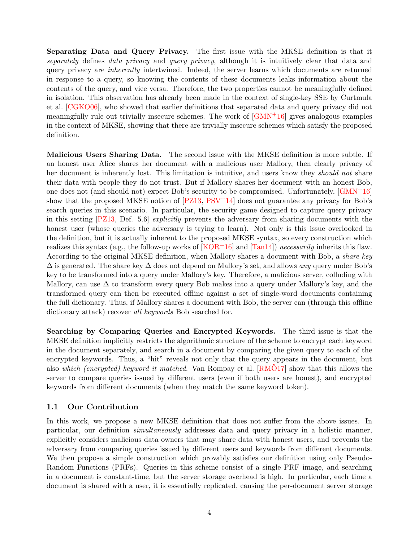Separating Data and Query Privacy. The first issue with the MKSE definition is that it separately defines *data privacy* and *query privacy*, although it is intuitively clear that data and query privacy are inherently intertwined. Indeed, the server learns which documents are returned in response to a query, so knowing the contents of these documents leaks information about the contents of the query, and vice versa. Therefore, the two properties cannot be meaningfully defined in isolation. This observation has already been made in the context of single-key SSE by Curtmula et al. [\[CGKO06\]](#page-31-2), who showed that earlier definitions that separated data and query privacy did not meaningfully rule out trivially insecure schemes. The work of  $\text{[GMN+16]}$  $\text{[GMN+16]}$  $\text{[GMN+16]}$  gives analogous examples in the context of MKSE, showing that there are trivially insecure schemes which satisfy the proposed definition.

Malicious Users Sharing Data. The second issue with the MKSE definition is more subtle. If an honest user Alice shares her document with a malicious user Mallory, then clearly privacy of her document is inherently lost. This limitation is intuitive, and users know they *should not* share their data with people they do not trust. But if Mallory shares her document with an honest Bob, one does not (and should not) expect Bob's security to be compromised. Unfortunately, [\[GMN](#page-31-4)+16] show that the proposed MKSE notion of  $[ PZ13, PSV<sup>+</sup>14 ]$  $[ PZ13, PSV<sup>+</sup>14 ]$  $[ PZ13, PSV<sup>+</sup>14 ]$  does not guarantee any privacy for Bob's search queries in this scenario. In particular, the security game designed to capture query privacy in this setting [\[PZ13,](#page-33-4) Def. 5.6] explicitly prevents the adversary from sharing documents with the honest user (whose queries the adversary is trying to learn). Not only is this issue overlooked in the definition, but it is actually inherent to the proposed MKSE syntax, so every construction which realizes this syntax (e.g., the follow-up works of  $[KOR<sup>+</sup>16]$  $[KOR<sup>+</sup>16]$  and  $[Tan14]$ ) necessarily inherits this flaw. According to the original MKSE definition, when Mallory shares a document with Bob, a share key  $\Delta$  is generated. The share key  $\Delta$  does not depend on Mallory's set, and allows any query under Bob's key to be transformed into a query under Mallory's key. Therefore, a malicious server, colluding with Mallory, can use  $\Delta$  to transform every query Bob makes into a query under Mallory's key, and the transformed query can then be executed offline against a set of single-word documents containing the full dictionary. Thus, if Mallory shares a document with Bob, the server can (through this offline dictionary attack) recover all keywords Bob searched for.

Searching by Comparing Queries and Encrypted Keywords. The third issue is that the MKSE definition implicitly restricts the algorithmic structure of the scheme to encrypt each keyword in the document separately, and search in a document by comparing the given query to each of the encrypted keywords. Thus, a "hit" reveals not only that the query appears in the document, but also which (encrypted) keyword it matched. Van Rompay et al.  $[RMO17]$  $[RMO17]$  show that this allows the server to compare queries issued by different users (even if both users are honest), and encrypted keywords from different documents (when they match the same keyword token).

#### <span id="page-3-0"></span>1.1 Our Contribution

In this work, we propose a new MKSE definition that does not suffer from the above issues. In particular, our definition simultaneously addresses data and query privacy in a holistic manner, explicitly considers malicious data owners that may share data with honest users, and prevents the adversary from comparing queries issued by different users and keywords from different documents. We then propose a simple construction which provably satisfies our definition using only Pseudo-Random Functions (PRFs). Queries in this scheme consist of a single PRF image, and searching in a document is constant-time, but the server storage overhead is high. In particular, each time a document is shared with a user, it is essentially replicated, causing the per-document server storage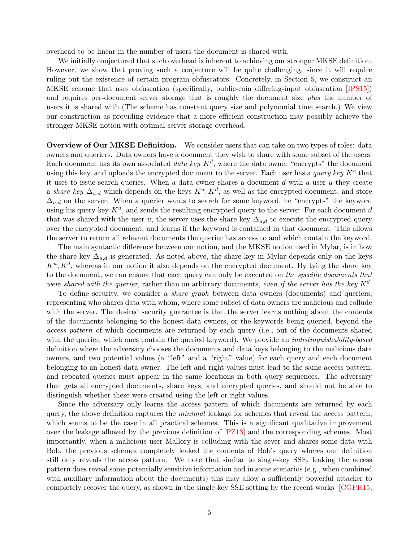overhead to be linear in the number of users the document is shared with.

We initially conjectured that such overhead is inherent to achieving our stronger MKSE definition. However, we show that proving such a conjecture will be quite challenging, since it will require ruling out the existence of certain program obfuscators. Concretely, in Section [5,](#page-12-0) we construct an MKSE scheme that uses obfuscation (specifically, public-coin differing-input obfuscation [\[IPS15\]](#page-32-5)) and requires per-document server storage that is roughly the document size plus the number of users it is shared with (The scheme has constant query size and polynomial time search.) We view our construction as providing evidence that a more efficient construction may possibly achieve the stronger MKSE notion with optimal server storage overhead.

Overview of Our MKSE Definition. We consider users that can take on two types of roles: data owners and queriers. Data owners have a document they wish to share with some subset of the users. Each document has its own associated *data key*  $K^d$ , where the data owner "encrypts" the document using this key, and uploads the encrypted document to the server. Each user has a *query key*  $K^u$  that it uses to issue search queries. When a data owner shares a document  $d$  with a user  $u$  they create a share key  $\Delta_{u,d}$  which depends on the keys  $K^u, K^d$ , as well as the encrypted document, and store  $\Delta_{u,d}$  on the server. When a querier wants to search for some keyword, he "encrypts" the keyword using his query key  $K^u$ , and sends the resulting encrypted query to the server. For each document d that was shared with the user u, the server uses the share key  $\Delta_{u,d}$  to execute the encrypted query over the encrypted document, and learns if the keyword is contained in that document. This allows the server to return all relevant documents the querier has access to and which contain the keyword.

The main syntactic difference between our notion, and the MKSE notion used in Mylar, is in how the share key  $\Delta_{u,d}$  is generated. As noted above, the share key in Mylar depends only on the keys  $K^u, K^d$ , whereas in our notion it also depends on the encrypted document. By tying the share key to the document, we can ensure that each query can only be executed on the specific documents that were shared with the querier, rather than on arbitrary documents, even if the server has the key  $K^d$ .

To define security, we consider a share graph between data owners (documents) and queriers, representing who shares data with whom, where some subset of data owners are malicious and collude with the server. The desired security guarantee is that the server learns nothing about the contents of the documents belonging to the honest data owners, or the keywords being queried, beyond the access pattern of which documents are returned by each query (i.e., out of the documents shared with the querier, which ones contain the queried keyword). We provide an *indistinguishability-based* definition where the adversary chooses the documents and data keys belonging to the malicious data owners, and two potential values (a "left" and a "right" value) for each query and each document belonging to an honest data owner. The left and right values must lead to the same access pattern, and repeated queries must appear in the same locations in both query sequences. The adversary then gets all encrypted documents, share keys, and encrypted queries, and should not be able to distinguish whether these were created using the left or right values.

Since the adversary only learns the access pattern of which documents are returned by each query, the above definition captures the *minimal* leakage for schemes that reveal the access pattern, which seems to be the case in all practical schemes. This is a significant qualitative improvement over the leakage allowed by the previous definition of [\[PZ13\]](#page-33-4) and the corresponding schemes. Most importantly, when a malicious user Mallory is colluding with the sever and shares some data with Bob, the previous schemes completely leaked the contents of Bob's query wheres our definition still only reveals the access pattern. We note that similar to single-key SSE, leaking the access pattern does reveal some potentially sensitive information and in some scenarios (e.g., when combined with auxiliary information about the documents) this may allow a sufficiently powerful attacker to completely recover the query, as shown in the single-key SSE setting by the recent works [\[CGPR15,](#page-31-5)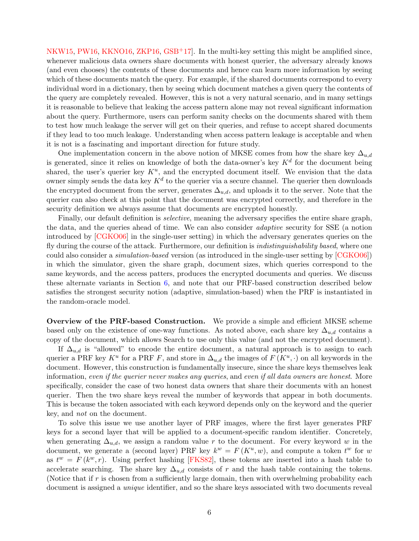[NKW15,](#page-32-1) [PW16,](#page-33-7) [KKNO16,](#page-32-2) [ZKP16,](#page-33-3)  $GSB<sup>+</sup>17$  $GSB<sup>+</sup>17$ . In the multi-key setting this might be amplified since, whenever malicious data owners share documents with honest querier, the adversary already knows (and even chooses) the contents of these documents and hence can learn more information by seeing which of these documents match the query. For example, if the shared documents correspond to every individual word in a dictionary, then by seeing which document matches a given query the contents of the query are completely revealed. However, this is not a very natural scenario, and in many settings it is reasonable to believe that leaking the access pattern alone may not reveal significant information about the query. Furthermore, users can perform sanity checks on the documents shared with them to test how much leakage the server will get on their queries, and refuse to accept shared documents if they lead to too much leakage. Understanding when access pattern leakage is acceptable and when it is not is a fascinating and important direction for future study.

One implementation concern in the above notion of MKSE comes from how the share key  $\Delta_{u,d}$ is generated, since it relies on knowledge of both the data-owner's key  $K<sup>d</sup>$  for the document being shared, the user's querier key  $K^u$ , and the encrypted document itself. We envision that the data owner simply sends the data key  $K^d$  to the querier via a secure channel. The querier then downloads the encrypted document from the server, generates  $\Delta_{u,d}$ , and uploads it to the server. Note that the querier can also check at this point that the document was encrypted correctly, and therefore in the security definition we always assume that documents are encrypted honestly.

Finally, our default definition is *selective*, meaning the adversary specifies the entire share graph, the data, and the queries ahead of time. We can also consider adaptive security for SSE (a notion introduced by [\[CGKO06\]](#page-31-2) in the single-user setting) in which the adversary generates queries on the fly during the course of the attack. Furthermore, our definition is *indistinguishability based*, where one could also consider a simulation-based version (as introduced in the single-user setting by [\[CGKO06\]](#page-31-2)) in which the simulator, given the share graph, document sizes, which queries correspond to the same keywords, and the access patters, produces the encrypted documents and queries. We discuss these alternate variants in Section [6,](#page-28-0) and note that our PRF-based construction described below satisfies the strongest security notion (adaptive, simulation-based) when the PRF is instantiated in the random-oracle model.

Overview of the PRF-based Construction. We provide a simple and efficient MKSE scheme based only on the existence of one-way functions. As noted above, each share key  $\Delta_{u,d}$  contains a copy of the document, which allows Search to use only this value (and not the encrypted document).

If  $\Delta_{u,d}$  is "allowed" to encode the entire document, a natural approach is to assign to each querier a PRF key  $K^u$  for a PRF F, and store in  $\Delta_{u,d}$  the images of  $F(K^u, \cdot)$  on all keywords in the document. However, this construction is fundamentally insecure, since the share keys themselves leak information, even if the querier never makes any queries, and even if all data owners are honest. More specifically, consider the case of two honest data owners that share their documents with an honest querier. Then the two share keys reveal the number of keywords that appear in both documents. This is because the token associated with each keyword depends only on the keyword and the querier key, and not on the document.

To solve this issue we use another layer of PRF images, where the first layer generates PRF keys for a second layer that will be applied to a document-specific random identifier. Concretely, when generating  $\Delta_{u,d}$ , we assign a random value r to the document. For every keyword w in the document, we generate a (second layer) PRF key  $k^w = F(K^u, w)$ , and compute a token  $t^w$  for w as  $t^w = F(k^w, r)$ . Using perfect hashing [\[FKS82\]](#page-31-6), these tokens are inserted into a hash table to accelerate searching. The share key  $\Delta_{u,d}$  consists of r and the hash table containing the tokens. (Notice that if  $r$  is chosen from a sufficiently large domain, then with overwhelming probability each document is assigned a *unique* identifier, and so the share keys associated with two documents reveal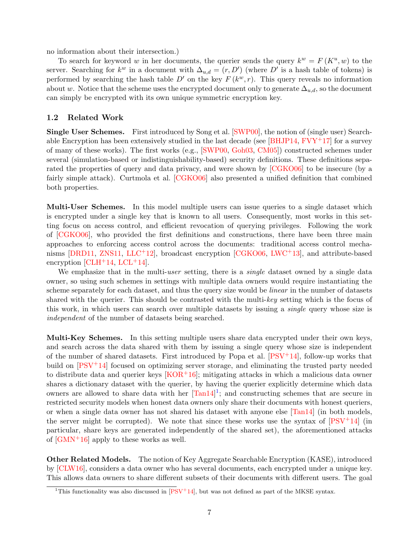no information about their intersection.)

To search for keyword w in her documents, the querier sends the query  $k^w = F(K^u, w)$  to the server. Searching for  $k^w$  in a document with  $\Delta_{u,d} = (r, D')$  (where D' is a hash table of tokens) is performed by searching the hash table  $D'$  on the key  $F(k^w, r)$ . This query reveals no information about w. Notice that the scheme uses the encrypted document only to generate  $\Delta_{u,d}$ , so the document can simply be encrypted with its own unique symmetric encryption key.

#### <span id="page-6-0"></span>1.2 Related Work

Single User Schemes. First introduced by Song et al. [\[SWP00\]](#page-33-1), the notion of (single user) Search-able Encryption has been extensively studied in the last decade (see [\[BHJP14,](#page-30-0)  $FVT+17$ ] for a survey of many of these works). The first works (e.g., [\[SWP00,](#page-33-1) [Goh03,](#page-31-0) [CM05\]](#page-31-1)) constructed schemes under several (simulation-based or indistinguishability-based) security definitions. These definitions separated the properties of query and data privacy, and were shown by [\[CGKO06\]](#page-31-2) to be insecure (by a fairly simple attack). Curtmola et al. [\[CGKO06\]](#page-31-2) also presented a unified definition that combined both properties.

Multi-User Schemes. In this model multiple users can issue queries to a single dataset which is encrypted under a single key that is known to all users. Consequently, most works in this setting focus on access control, and efficient revocation of querying privileges. Following the work of [\[CGKO06\]](#page-31-2), who provided the first definitions and constructions, there have been three main approaches to enforcing access control across the documents: traditional access control mechanisms [\[DRD11,](#page-31-8) [ZNS11,](#page-33-8) [LLC](#page-32-7)+12], broadcast encryption [\[CGKO06,](#page-31-2) [LWC](#page-32-8)+13], and attribute-based encryption  $[CLH^+14, LCL^+14]$  $[CLH^+14, LCL^+14]$  $[CLH^+14, LCL^+14]$  $[CLH^+14, LCL^+14]$ .

We emphasize that in the multi-user setting, there is a *single* dataset owned by a single data owner, so using such schemes in settings with multiple data owners would require instantiating the scheme separately for each dataset, and thus the query size would be *linear* in the number of datasets shared with the querier. This should be contrasted with the multi-key setting which is the focus of this work, in which users can search over multiple datasets by issuing a single query whose size is independent of the number of datasets being searched.

Multi-Key Schemes. In this setting multiple users share data encrypted under their own keys, and search across the data shared with them by issuing a single query whose size is independent of the number of shared datasets. First introduced by Popa et al.  $[PSV^+14]$  $[PSV^+14]$ , follow-up works that build on  $[PSV^+14]$  $[PSV^+14]$  focused on optimizing server storage, and eliminating the trusted party needed to distribute data and querier keys  $[KOR<sup>+</sup>16]$  $[KOR<sup>+</sup>16]$ ; mitigating attacks in which a malicious data owner shares a dictionary dataset with the querier, by having the querier explicitly determine which data owners are allowed to share data with her  $[Tan14]^1$  $[Tan14]^1$  $[Tan14]^1$ ; and constructing schemes that are secure in restricted security models when honest data owners only share their documents with honest queriers, or when a single data owner has not shared his dataset with anyone else  $|\text{Tan}14|$  (in both models, the server might be corrupted). We note that since these works use the syntax of  $[PSV^+14]$  $[PSV^+14]$  (in particular, share keys are generated independently of the shared set), the aforementioned attacks of  $\text{GMN}^+16$  apply to these works as well.

Other Related Models. The notion of Key Aggregate Searchable Encryption (KASE), introduced by [\[CLW16\]](#page-31-10), considers a data owner who has several documents, each encrypted under a unique key. This allows data owners to share different subsets of their documents with different users. The goal

<span id="page-6-1"></span><sup>&</sup>lt;sup>1</sup>This functionality was also discussed in  $[PSV^+14]$  $[PSV^+14]$ , but was not defined as part of the MKSE syntax.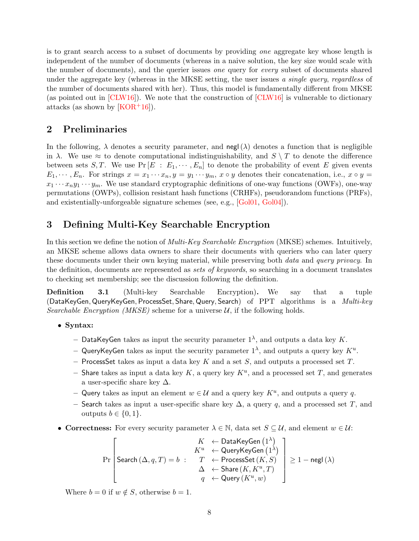is to grant search access to a subset of documents by providing one aggregate key whose length is independent of the number of documents (whereas in a naive solution, the key size would scale with the number of documents), and the querier issues one query for every subset of documents shared under the aggregate key (whereas in the MKSE setting, the user issues a *single query, regardless* of the number of documents shared with her). Thus, this model is fundamentally different from MKSE (as pointed out in  $[CLW16]$ ). We note that the construction of  $[CLW16]$  is vulnerable to dictionary attacks (as shown by  $[KOR+16]$  $[KOR+16]$ ).

## <span id="page-7-0"></span>2 Preliminaries

In the following,  $\lambda$  denotes a security parameter, and negl( $\lambda$ ) denotes a function that is negligible in  $\lambda$ . We use  $\approx$  to denote computational indistinguishability, and  $S \setminus T$  to denote the difference between sets S, T. We use  $Pr[E : E_1, \cdots, E_n]$  to denote the probability of event E given events  $E_1, \dots, E_n$ . For strings  $x = x_1 \dots x_n, y = y_1 \dots y_m, x \circ y$  denotes their concatenation, i.e.,  $x \circ y =$  $x_1 \cdots x_n y_1 \cdots y_m$ . We use standard cryptographic definitions of one-way functions (OWFs), one-way permutations (OWPs), collision resistant hash functions (CRHFs), pseudorandom functions (PRFs), and existentially-unforgeable signature schemes (see, e.g., [\[Gol01,](#page-31-11) [Gol04\]](#page-31-12)).

# <span id="page-7-1"></span>3 Defining Multi-Key Searchable Encryption

In this section we define the notion of *Multi-Key Searchable Encryption* (MKSE) schemes. Intuitively, an MKSE scheme allows data owners to share their documents with queriers who can later query these documents under their own keying material, while preserving both *data* and *query privacy*. In the definition, documents are represented as sets of keywords, so searching in a document translates to checking set membership; see the discussion following the definition.

<span id="page-7-2"></span>Definition 3.1 (Multi-key Searchable Encryption). We say that a tuple (DataKeyGen, QueryKeyGen, ProcessSet, Share, Query, Search) of PPT algorithms is a Multi-key Searchable Encryption (MKSE) scheme for a universe  $U$ , if the following holds.

- Syntax:
	- DataKeyGen takes as input the security parameter  $1^{\lambda}$ , and outputs a data key K.
	- QueryKeyGen takes as input the security parameter  $1^{\lambda}$ , and outputs a query key  $K^u$ .
	- ProcessSet takes as input a data key K and a set S, and outputs a processed set T.
	- Share takes as input a data key  $K$ , a query key  $K^u$ , and a processed set T, and generates a user-specific share key  $\Delta$ .
	- Query takes as input an element  $w \in \mathcal{U}$  and a query key  $K^u$ , and outputs a query q.
	- Search takes as input a user-specific share key  $\Delta$ , a query q, and a processed set T, and outputs  $b \in \{0, 1\}.$
- Correctness: For every security parameter  $\lambda \in \mathbb{N}$ , data set  $S \subseteq \mathcal{U}$ , and element  $w \in \mathcal{U}$ :

$$
\Pr\left[\begin{matrix}K &\leftarrow {\sf DataKeyGen}\left(1^{\lambda}\right)\\K^u &\leftarrow {\sf QueryKeyGen}\left(1^{\lambda}\right)\\\text{Search}\left(\Delta,q,T\right)=b\;:\quad T &\leftarrow {\sf ProcessSet}\left(K,S\right)\\ \Delta &\leftarrow {\sf share}\left(K,K^u,T\right)\\q &\leftarrow {\sf Query}\left(K^u,w\right)\end{matrix}\right]\geq 1-\mathsf{negl}\left(\lambda\right)
$$

Where  $b = 0$  if  $w \notin S$ , otherwise  $b = 1$ .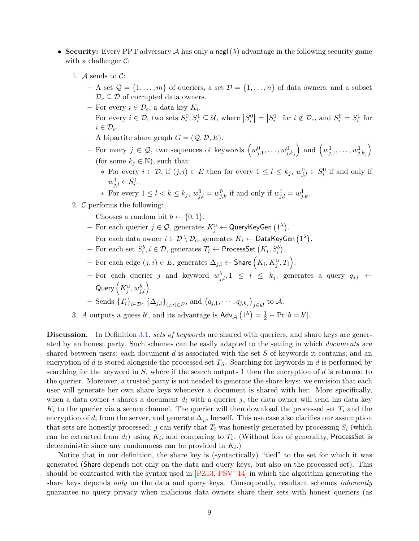- <span id="page-8-0"></span>• Security: Every PPT adversary A has only a negl( $\lambda$ ) advantage in the following security game with a challenger  $\mathcal{C}$ :
	- 1.  $A$  sends to  $C$ :
		- A set  $\mathcal{Q} = \{1, \ldots, m\}$  of queriers, a set  $\mathcal{D} = \{1, \ldots, n\}$  of data owners, and a subset  $\mathcal{D}_c \subseteq \mathcal{D}$  of corrupted data owners.
		- For every  $i \in \mathcal{D}_c$ , a data key  $K_i$ .
		- $S_i^0 \text{For every } i \in \mathcal{D}$ , two sets  $S_i^0, S_i^1 \subseteq \mathcal{U}$ , where  $|S_i^0| = |S_i^1|$  for  $i \notin \mathcal{D}_c$ , and  $S_i^0 = S_i^1$  for  $i \in \mathcal{D}_c$ .
		- A bipartite share graph  $G = (Q, \mathcal{D}, E)$ .
		- − For every  $j \in \mathcal{Q}$ , two sequences of keywords  $(w_{j,1}^0, \ldots, w_{j,k_j}^0)$  and  $(w_{j,1}^1, \ldots, w_{j,k_j}^1)$ (for some  $k_j \in \mathbb{N}$ ), such that:
			- ∗ For every  $i \in \mathcal{D}$ , if  $(j, i) \in E$  then for every  $1 \leq l \leq k_j$ ,  $w_{j,l}^0 \in S_i^0$  if and only if  $w_{j,l}^1 \in S_i^1$ .

\* For every 
$$
1 \leq l < k \leq k_j
$$
,  $w_{j,l}^0 = w_{j,k}^0$  if and only if  $w_{j,l}^1 = w_{j,k}^1$ .

- 2. C performs the following:
	- Chooses a random bit  $b \leftarrow \{0, 1\}.$
	- For each querier  $j \in \mathcal{Q}$ , generates  $K_j^u \leftarrow \mathsf{QueryKeyGen}\left(1^\lambda\right)$ .
	- $-$  For each data owner  $i \in \mathcal{D} \setminus \mathcal{D}_c,$  generates  $K_i \leftarrow \mathsf{DataKeyGen}\left(1^\lambda\right).$
	- For each set  $S_i^b, i \in \mathcal{D}$ , generates  $T_i \leftarrow$  ProcessSet  $(K_i, S_i^b)$ .
	- $-$  For each edge  $(j,i) \in E$ , generates  $\Delta_{j,i}$  ← Share  $(K_i, K_j^u, T_i)$ .
	- $-$  For each querier j and keyword  $w_{j,l}^b, 1 \leq l \leq k_j$ , generates a query  $q_{j,l} \leftarrow$ Query  $\left(K^u_j,w^b_{j,l}\right)$  .
	- $-$  Sends  ${T_i}_{i \in \mathcal{D}}$ ,  ${\{\Delta_{j,i}\}}_{(j,i) \in E}$ , and  $(q_{j,1}, \cdots, q_{j,k_j})_{j \in \mathcal{Q}}$  to A.
- 3. A outputs a guess b', and its advantage is  $\mathsf{Adv}_{\mathcal{A}}(1^{\lambda}) = \frac{1}{2} \Pr[b = b']$ .

**Discussion.** In Definition [3.1,](#page-7-2) sets of keywords are shared with queriers, and share keys are generated by an honest party. Such schemes can be easily adapted to the setting in which documents are shared between users: each document  $d$  is associated with the set  $S$  of keywords it contains; and an encryption of d is stored alongside the processed set  $T<sub>S</sub>$ . Searching for keywords in d is performed by searching for the keyword in  $S$ , where if the search outputs 1 then the encryption of  $d$  is returned to the querier. Moreover, a trusted party is not needed to generate the share keys: we envision that each user will generate her own share keys whenever a document is shared with her. More specifically, when a data owner i shares a document  $d_i$  with a querier j, the data owner will send his data key  $K_i$  to the querier via a secure channel. The querier will then download the processed set  $T_i$  and the encryption of  $d_i$  from the server, and generate  $\Delta_{j,i}$  herself. This use case also clarifies our assumption that sets are honestly processed: j can verify that  $T_i$  was honestly generated by processing  $S_i$  (which can be extracted from  $d_i$ ) using  $K_i$ , and comparing to  $T_i$ . (Without loss of generality, ProcessSet is deterministic since any randomness can be provided in  $K_i$ .

Notice that in our definition, the share key is (syntactically) "tied" to the set for which it was generated (Share depends not only on the data and query keys, but also on the processed set). This should be contrasted with the syntax used in  $[PZ13, PSV<sup>+</sup>14]$  $[PZ13, PSV<sup>+</sup>14]$  $[PZ13, PSV<sup>+</sup>14]$  $[PZ13, PSV<sup>+</sup>14]$  in which the algorithm generating the share keys depends only on the data and query keys. Consequently, resultant schemes *inherently* guarantee no query privacy when malicious data owners share their sets with honest queriers (as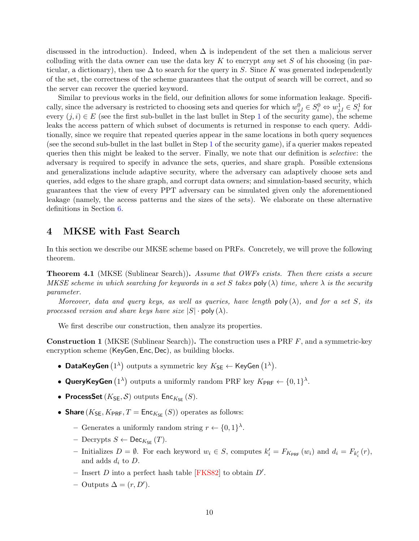discussed in the introduction). Indeed, when  $\Delta$  is independent of the set then a malicious server colluding with the data owner can use the data key K to encrypt any set S of his choosing (in particular, a dictionary), then use  $\Delta$  to search for the query in S. Since K was generated independently of the set, the correctness of the scheme guarantees that the output of search will be correct, and so the server can recover the queried keyword.

Similar to previous works in the field, our definition allows for some information leakage. Specifically, since the adversary is restricted to choosing sets and queries for which  $w_{j,l}^0 \in S_i^0 \Leftrightarrow w_{j,l}^1 \in S_i^1$  for every  $(j, i) \in E$  (see the first sub-bullet in the last bullet in Step [1](#page-8-0) of the security game), the scheme leaks the access pattern of which subset of documents is returned in response to each query. Additionally, since we require that repeated queries appear in the same locations in both query sequences (see the second sub-bullet in the last bullet in Step [1](#page-8-0) of the security game), if a querier makes repeated queries then this might be leaked to the server. Finally, we note that our definition is selective: the adversary is required to specify in advance the sets, queries, and share graph. Possible extensions and generalizations include adaptive security, where the adversary can adaptively choose sets and queries, add edges to the share graph, and corrupt data owners; and simulation-based security, which guarantees that the view of every PPT adversary can be simulated given only the aforementioned leakage (namely, the access patterns and the sizes of the sets). We elaborate on these alternative definitions in Section [6.](#page-28-0)

### <span id="page-9-0"></span>4 MKSE with Fast Search

In this section we describe our MKSE scheme based on PRFs. Concretely, we will prove the following theorem.

<span id="page-9-2"></span>**Theorem 4.1** (MKSE (Sublinear Search)). Assume that OWFs exists. Then there exists a secure MKSE scheme in which searching for keywords in a set S takes poly  $(\lambda)$  time, where  $\lambda$  is the security parameter.

Moreover, data and query keys, as well as queries, have length  $poly(\lambda)$ , and for a set S, its processed version and share keys have size  $|S| \cdot \text{poly}(\lambda)$ .

We first describe our construction, then analyze its properties.

<span id="page-9-1"></span>**Construction 1** (MKSE (Sublinear Search)). The construction uses a PRF  $F$ , and a symmetric-key encryption scheme (KeyGen, Enc, Dec), as building blocks.

- DataKeyGen  $(1^{\lambda})$  outputs a symmetric key  $K_{\mathsf{SE}} \leftarrow \mathsf{KeyGen}\left(1^{\lambda}\right)$ .
- QueryKeyGen  $(1^{\lambda})$  outputs a uniformly random PRF key  $K_{\text{PRF}} \leftarrow \{0, 1\}^{\lambda}$ .
- ProcessSet  $(K_{\mathsf{SE}}, \mathcal{S})$  outputs  $\mathsf{Enc}_{K_{\mathsf{SE}}}(S)$ .
- Share  $(K_{\mathsf{SE}}, K_{\mathsf{PRF}}, T = \mathsf{Enc}_{K_{\mathsf{SE}}}(S))$  operates as follows:
	- Generates a uniformly random string  $r \leftarrow \{0,1\}^{\lambda}$ .
	- Decrypts  $S \leftarrow \mathsf{Dec}_{K_{\mathsf{SE}}}(T)$ .
	- Initializes  $D = ∅$ . For each keyword  $w_i ∈ S$ , computes  $k'_i = F_{K_{\text{PRF}}}(w_i)$  and  $d_i = F_{k'_i}(r)$ , and adds  $d_i$  to D.
	- Insert D into a perfect hash table [ $FKS82$ ] to obtain  $D'$ .
	- $-$  Outputs  $\Delta = (r, D').$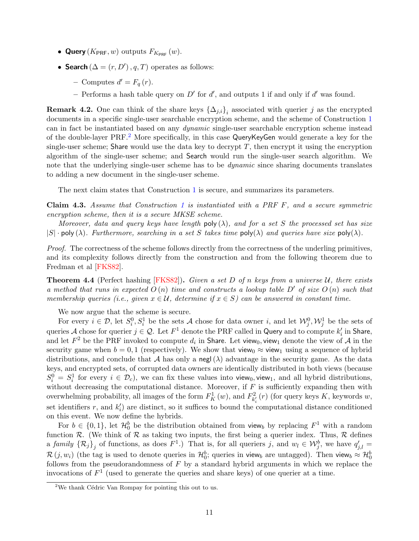- Query  $(K_{\text{PRF}}, w)$  outputs  $F_{K_{\text{PRF}}}(w)$ .
- Search  $(\Delta = (r, D'), q, T)$  operates as follows:
	- Computes  $d' = F_q(r)$ .
	- Performs a hash table query on  $D'$  for  $d'$ , and outputs 1 if and only if  $d'$  was found.

**Remark 4.2.** One can think of the share keys  $\{\Delta_{j,i}\}_i$  associated with querier j as the encrypted documents in a specific single-user searchable encryption scheme, and the scheme of Construction [1](#page-9-1) can in fact be instantiated based on any dynamic single-user searchable encryption scheme instead of the double-layer PRF.[2](#page-10-0) More specifically, in this case QueryKeyGen would generate a key for the single-user scheme; Share would use the data key to decrypt  $T$ , then encrypt it using the encryption algorithm of the single-user scheme; and Search would run the single-user search algorithm. We note that the underlying single-user scheme has to be *dynamic* since sharing documents translates to adding a new document in the single-user scheme.

The next claim states that Construction [1](#page-9-1) is secure, and summarizes its parameters.

<span id="page-10-1"></span>Claim 4.3. Assume that Construction [1](#page-9-1) is instantiated with a PRF F, and a secure symmetric encryption scheme, then it is a secure MKSE scheme.

Moreover, data and query keys have length poly  $(\lambda)$ , and for a set S the processed set has size  $|S|$  · poly ( $\lambda$ ). Furthermore, searching in a set S takes time poly( $\lambda$ ) and queries have size poly( $\lambda$ ).

Proof. The correctness of the scheme follows directly from the correctness of the underling primitives, and its complexity follows directly from the construction and from the following theorem due to Fredman et al [\[FKS82\]](#page-31-6).

**Theorem 4.4** (Perfect hashing [\[FKS82\]](#page-31-6)). Given a set D of n keys from a universe  $U$ , there exists a method that runs in expected  $O(n)$  time and constructs a lookup table  $D'$  of size  $O(n)$  such that membership queries (i.e., given  $x \in \mathcal{U}$ , determine if  $x \in S$ ) can be answered in constant time.

We now argue that the scheme is secure.

For every  $i \in \mathcal{D}$ , let  $S_i^0, S_i^1$  be the sets A chose for data owner i, and let  $\mathcal{W}_j^0, \mathcal{W}_j^1$  be the sets of queries  $\mathcal A$  chose for querier  $j\in\mathcal Q$ . Let  $F^1$  denote the PRF called in Query and to compute  $k_i'$  in Share, and let  $F^2$  be the PRF invoked to compute  $d_i$  in Share. Let view<sub>0</sub>, view<sub>1</sub> denote the view of A in the security game when  $b = 0, 1$  (respectively). We show that view<sub>0</sub>  $\approx$  view<sub>1</sub> using a sequence of hybrid distributions, and conclude that A has only a negl( $\lambda$ ) advantage in the security game. As the data keys, and encrypted sets, of corrupted data owners are identically distributed in both views (because  $S_i^0 = S_i^1$  for every  $i \in \mathcal{D}_c$ , we can fix these values into view<sub>0</sub>, view<sub>1</sub>, and all hybrid distributions, without decreasing the computational distance. Moreover, if  $F$  is sufficiently expanding then with overwhelming probability, all images of the form  $F_K^1(w)$ , and  $F_{k'_i}^2(r)$  (for query keys K, keywords w, set identifiers  $r$ , and  $k'_{i}$  are distinct, so it suffices to bound the computational distance conditioned on this event. We now define the hybrids.

For  $b \in \{0,1\}$ , let  $\mathcal{H}_0^b$  be the distribution obtained from view<sub>b</sub> by replacing  $F^1$  with a random function R. (We think of R as taking two inputs, the first being a querier index. Thus, R defines a family  $\{\mathcal{R}_j\}_j$  of functions, as does  $F^1$ .) That is, for all queriers j, and  $w_l \in \mathcal{W}_j^b$ , we have  $q'_{j,l}$  $\mathcal{R}(j, w_i)$  (the tag is used to denote queries in  $\mathcal{H}_0^b$ ; queries in view<sub>b</sub> are untagged). Then view<sub>b</sub>  $\approx \mathcal{H}_0^b$ follows from the pseudorandomness of  $F$  by a standard hybrid arguments in which we replace the invocations of  $F<sup>1</sup>$  (used to generate the queries and share keys) of one querier at a time.

<span id="page-10-0"></span> $2$ We thank Cédric Van Rompay for pointing this out to us.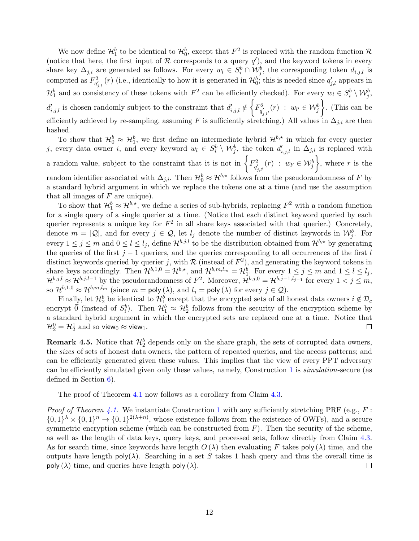We now define  $\mathcal{H}_1^b$  to be identical to  $\mathcal{H}_0^b$ , except that  $F^2$  is replaced with the random function  $\mathcal{R}$ (notice that here, the first input of  $R$  corresponds to a query  $q'$ ), and the keyword tokens in every share key  $\Delta_{j,i}$  are generated as follows. For every  $w_l \in S_i^b \cap \mathcal{W}_j^b$ , the corresponding token  $d_{i,j,l}$  is computed as  $F_{q'_{j,l}}^2(r)$  (i.e., identically to how it is generated in  $\mathcal{H}_0^b$ ; this is needed since  $q'_{j,l}$  appears in  $\mathcal{H}_1^b$  and so consistency of these tokens with  $F^2$  can be efficiently checked). For every  $w_l \in S_i^b \setminus \mathcal{W}_j^b$ ,  $d'_{i,j,l}$  is chosen randomly subject to the constraint that  $d'_{i,j,l} \notin \left\{ F^2_{q'_{j,l'}}(r) : w_{l'} \in \mathcal{W}^b_j\right\}$  $\bigg\}$ . (This can be efficiently achieved by re-sampling, assuming F is sufficiently stretching.) All values in  $\Delta_{j,i}$  are then hashed.

To show that  $\mathcal{H}_0^b \approx \mathcal{H}_1^b$ , we first define an intermediate hybrid  $\mathcal{H}^{b,*}$  in which for every querier j, every data owner i, and every keyword  $w_l \in S_i^b \setminus \mathcal{W}_j^b$ , the token  $d'_{i,j,l}$  in  $\Delta_{j,i}$  is replaced with a random value, subject to the constraint that it is not in  $\left\{F_{q'_{j,l'}}^2(r) : w_{l'} \in \mathcal{W}_j^b\right\}$  $\Big\}$ , where r is the random identifier associated with  $\Delta_{j,i}$ . Then  $\mathcal{H}_0^b \approx \mathcal{H}^{b,*}$  follows from the pseudorandomness of F by a standard hybrid argument in which we replace the tokens one at a time (and use the assumption that all images of  $F$  are unique).

To show that  $\mathcal{H}_1^b \approx \mathcal{H}^{b,\star}$ , we define a series of sub-hybrids, replacing  $F^2$  with a random function for a single query of a single querier at a time. (Notice that each distinct keyword queried by each querier represents a unique key for  $F^2$  in all share keys associated with that querier.) Concretely, denote  $m = |Q|$ , and for every  $j \in Q$ , let  $l_j$  denote the number of distinct keywords in  $\mathcal{W}_j^b$ . For every  $1 \le j \le m$  and  $0 \le l \le l_j$ , define  $\mathcal{H}^{b,j,l}$  to be the distribution obtained from  $\mathcal{H}^{b,*}$  by generating the queries of the first  $j - 1$  queriers, and the queries corresponding to all occurrences of the first l distinct keywords queried by querier j, with  $\mathcal R$  (instead of  $F^2$ ), and generating the keyword tokens in share keys accordingly. Then  $\mathcal{H}^{b,1,0} = \mathcal{H}^{b,\star}$ , and  $\mathcal{H}^{b,m,l_m} = \mathcal{H}_1^b$ . For every  $1 \leq j \leq m$  and  $1 \leq l \leq l_j$ , share keys accordingly. Then  $\pi^{(i)} = \pi^{(i)}$ , and  $\pi^{(i)} = \pi_1$ . For every  $1 \leq j \leq m$  and  $1 \leq i \leq i_j$ ,  $\mathcal{H}^{b,j,l} \approx \mathcal{H}^{b,j,l-1}$  by the pseudorandomness of  $F^2$ . Moreover,  $\mathcal{H}^{b,j,0} = \mathcal{H}^{b,j-1,l_{j-1}}$  for every so  $\mathcal{H}^{b,1,0} \approx \mathcal{H}^{b,m,\ell_m}$  (since  $m = \text{poly}(\lambda)$ , and  $l_j = \text{poly}(\lambda)$  for every  $j \in \mathcal{Q}$ ).

Finally, let  $\mathcal{H}_2^b$  be identical to  $\mathcal{H}_1^b$  except that the encrypted sets of all honest data owners  $i \notin \mathcal{D}_c$ encrypt  $\vec{0}$  (instead of  $S_i^b$ ). Then  $\mathcal{H}_1^b \approx \mathcal{H}_2^b$  follows from the security of the encryption scheme by a standard hybrid argument in which the encrypted sets are replaced one at a time. Notice that  $\mathcal{H}_{2}^{0}=\mathcal{H}_{2}^{1}$  and so view<sub>0</sub>  $\approx$  view<sub>1</sub>.  $\Box$ 

<span id="page-11-0"></span>**Remark 4.5.** Notice that  $\mathcal{H}_2^b$  depends only on the share graph, the sets of corrupted data owners, the sizes of sets of honest data owners, the pattern of repeated queries, and the access patterns; and can be efficiently generated given these values. This implies that the view of every PPT adversary can be efficiently simulated given only these values, namely, Construction [1](#page-9-1) is simulation-secure (as defined in Section [6\)](#page-28-0).

The proof of Theorem [4.1](#page-9-2) now follows as a corollary from Claim [4.3.](#page-10-1)

*Proof of Theorem [4.1.](#page-9-2)* We instantiate Construction [1](#page-9-1) with any sufficiently stretching PRF (e.g.,  $F$ ):  $\{0,1\}^{\lambda} \times \{0,1\}^n \to \{0,1\}^{2(\lambda+n)}$ , whose existence follows from the existence of OWFs), and a secure symmetric encryption scheme (which can be constructed from  $F$ ). Then the security of the scheme, as well as the length of data keys, query keys, and processed sets, follow directly from Claim [4.3.](#page-10-1) As for search time, since keywords have length  $O(\lambda)$  then evaluating F takes poly  $(\lambda)$  time, and the outputs have length  $\text{poly}(\lambda)$ . Searching in a set S takes 1 hash query and thus the overall time is poly  $(\lambda)$  time, and queries have length poly  $(\lambda)$ .  $\Box$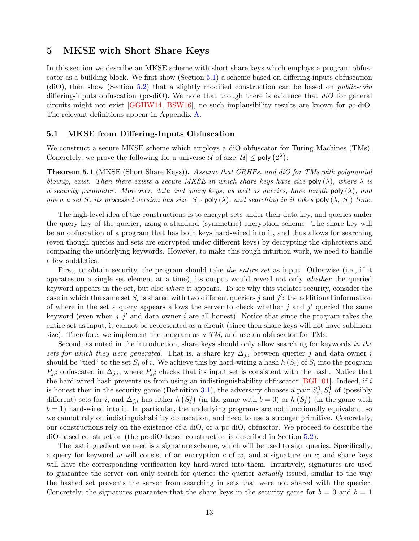### <span id="page-12-0"></span>5 MKSE with Short Share Keys

In this section we describe an MKSE scheme with short share keys which employs a program obfuscator as a building block. We first show (Section [5.1\)](#page-12-1) a scheme based on differing-inputs obfuscation (diO), then show (Section [5.2\)](#page-18-0) that a slightly modified construction can be based on public-coin differing-inputs obfuscation (pc-diO). We note that though there is evidence that  $diO$  for general circuits might not exist  $[GGHW14, BSW16]$  $[GGHW14, BSW16]$  $[GGHW14, BSW16]$ , no such implausibility results are known for  $pc$ -diO. The relevant definitions appear in Appendix [A.](#page-33-0)

#### <span id="page-12-1"></span>5.1 MKSE from Differing-Inputs Obfuscation

We construct a secure MKSE scheme which employs a diO obfuscator for Turing Machines (TMs). Concretely, we prove the following for a universe  $\mathcal U$  of size  $|\mathcal U| \leq \text{poly}(2^{\lambda})$ :

<span id="page-12-2"></span>**Theorem 5.1** (MKSE (Short Share Keys)). Assume that CRHFs, and diO for TMs with polynomial blowup, exist. Then there exists a secure MKSE in which share keys have size poly  $(\lambda)$ , where  $\lambda$  is a security parameter. Moreover, data and query keys, as well as queries, have length poly  $(\lambda)$ , and given a set S, its processed version has size  $|S| \cdot \text{poly}(\lambda)$ , and searching in it takes poly  $(\lambda, |S|)$  time.

The high-level idea of the constructions is to encrypt sets under their data key, and queries under the query key of the querier, using a standard (symmetric) encryption scheme. The share key will be an obfuscation of a program that has both keys hard-wired into it, and thus allows for searching (even though queries and sets are encrypted under different keys) by decrypting the ciphertexts and comparing the underlying keywords. However, to make this rough intuition work, we need to handle a few subtleties.

First, to obtain security, the program should take the entire set as input. Otherwise (i.e., if it operates on a single set element at a time), its output would reveal not only whether the queried keyword appears in the set, but also where it appears. To see why this violates security, consider the case in which the same set  $S_i$  is shared with two different queriers j and j': the additional information of where in the set a query appears allows the server to check whether  $j$  and  $j'$  queried the same keyword (even when  $j, j'$  and data owner i are all honest). Notice that since the program takes the entire set as input, it cannot be represented as a circuit (since then share keys will not have sublinear size). Therefore, we implement the program as a TM, and use an obfuscator for TMs.

Second, as noted in the introduction, share keys should only allow searching for keywords in the sets for which they were generated. That is, a share key  $\Delta_{j,i}$  between querier j and data owner i should be "tied" to the set  $S_i$  of i. We achieve this by hard-wiring a hash  $h(S_i)$  of  $S_i$  into the program  $P_{j,i}$  obfuscated in  $\Delta_{j,i}$ , where  $P_{j,i}$  checks that its input set is consistent with the hash. Notice that the hard-wired hash prevents us from using an indistinguishability obfuscator [\[BGI](#page-30-2)+01]. Indeed, if  $i$ is honest then in the security game (Definition [3.1\)](#page-7-2), the adversary chooses a pair  $S_i^0, S_i^1$  of (possibly different) sets for *i*, and  $\Delta_{j,i}$  has either  $h(S_i^0)$  (in the game with  $b = 0$ ) or  $h(S_i^1)$  (in the game with  $b = 1$ ) hard-wired into it. In particular, the underlying programs are not functionally equivalent, so we cannot rely on indistinguishability obfuscation, and need to use a stronger primitive. Concretely, our constructions rely on the existence of a diO, or a pc-diO, obfusctor. We proceed to describe the diO-based construction (the pc-diO-based construction is described in Section [5.2\)](#page-18-0).

The last ingredient we need is a signature scheme, which will be used to sign queries. Specifically, a query for keyword w will consist of an encryption c of w, and a signature on c; and share keys will have the corresponding verification key hard-wired into them. Intuitively, signatures are used to guarantee the server can only search for queries the querier *actually* issued, similar to the way the hashed set prevents the server from searching in sets that were not shared with the querier. Concretely, the signatures guarantee that the share keys in the security game for  $b = 0$  and  $b = 1$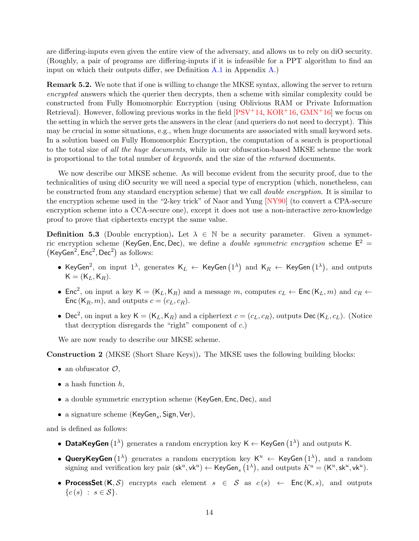are differing-inputs even given the entire view of the adversary, and allows us to rely on diO security. (Roughly, a pair of programs are differing-inputs if it is infeasible for a PPT algorithm to find an input on which their outputs differ, see Definition  $A.1$  in Appendix  $A.$ )

Remark 5.2. We note that if one is willing to change the MKSE syntax, allowing the server to return encrypted answers which the querier then decrypts, then a scheme with similar complexity could be constructed from Fully Homomorphic Encryption (using Oblivious RAM or Private Information Retrieval). However, following previous works in the field  $[PSV^+14, KOR^+16, GMN^+16]$  $[PSV^+14, KOR^+16, GMN^+16]$  $[PSV^+14, KOR^+16, GMN^+16]$  $[PSV^+14, KOR^+16, GMN^+16]$  $[PSV^+14, KOR^+16, GMN^+16]$  $[PSV^+14, KOR^+16, GMN^+16]$  we focus on the setting in which the server gets the answers in the clear (and queriers do not need to decrypt). This may be crucial in some situations, e.g., when huge documents are associated with small keyword sets. In a solution based on Fully Homomorphic Encryption, the computation of a search is proportional to the total size of all the huge documents, while in our obfuscation-based MKSE scheme the work is proportional to the total number of keywords, and the size of the returned documents.

We now describe our MKSE scheme. As will become evident from the security proof, due to the technicalities of using diO security we will need a special type of encryption (which, nonetheless, can be constructed from any standard encryption scheme) that we call double encryption. It is similar to the encryption scheme used in the "2-key trick" of Naor and Yung [\[NY90\]](#page-32-10) (to convert a CPA-secure encryption scheme into a CCA-secure one), except it does not use a non-interactive zero-knowledge proof to prove that ciphertexts encrypt the same value.

<span id="page-13-1"></span>**Definition 5.3** (Double encryption). Let  $\lambda \in \mathbb{N}$  be a security parameter. Given a symmetric encryption scheme (KeyGen, Enc, Dec), we define a *double symmetric encryption* scheme  $E^2 =$  $(KeyGen<sup>2</sup>, Enc<sup>2</sup>, Dec<sup>2</sup>)$  as follows:

- KeyGen<sup>2</sup>, on input 1<sup> $\lambda$ </sup>, generates K<sub>L</sub>  $\leftarrow$  KeyGen  $(1^{\lambda})$  and K<sub>R</sub>  $\leftarrow$  KeyGen  $(1^{\lambda})$ , and outputs  $K = (K_L, K_R).$
- Enc<sup>2</sup>, on input a key  $K = (K_L, K_R)$  and a message m, computes  $c_L \leftarrow \text{Enc}(K_L, m)$  and  $c_R \leftarrow$ Enc (K<sub>R</sub>, m), and outputs  $c = (c_L, c_R)$ .
- Dec<sup>2</sup>, on input a key  $\mathsf{K} = (\mathsf{K}_L, \mathsf{K}_R)$  and a ciphertext  $c = (c_L, c_R)$ , outputs Dec  $(\mathsf{K}_L, c_L)$ . (Notice that decryption disregards the "right" component of  $c$ .)

We are now ready to describe our MKSE scheme.

<span id="page-13-0"></span>Construction 2 (MKSE (Short Share Keys)). The MKSE uses the following building blocks:

- an obfuscator  $\mathcal{O},$
- a hash function  $h$ ,
- a double symmetric encryption scheme (KeyGen, Enc, Dec), and
- a signature scheme (KeyGen<sub>s</sub>, Sign, Ver),

and is defined as follows:

- DataKeyGen  $(1^{\lambda})$  generates a random encryption key K  $\leftarrow$  KeyGen  $(1^{\lambda})$  and outputs K.
- QueryKeyGen  $(1^{\lambda})$  generates a random encryption key  $K^u$   $\leftarrow$  KeyGen  $(1^{\lambda})$ , and a random signing and verification key pair  $(\mathsf{sk}^u, \mathsf{vk}^u) \leftarrow \mathsf{KeyGen}_s\left(1^\lambda\right)$ , and outputs  $K^u = (\mathsf{K}^u, \mathsf{sk}^u, \mathsf{vk}^u)$ .
- ProcessSet  $(K, S)$  encrypts each element  $s \in S$  as  $c(s) \leftarrow \text{Enc}(K, s)$ , and outputs  ${c(s) : s \in S}.$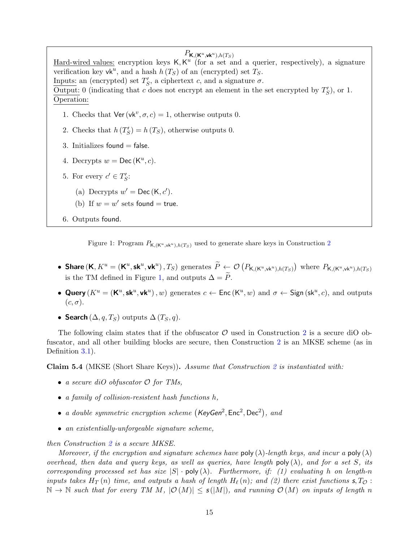<span id="page-14-0"></span> $P_{\mathsf{K},(\mathsf{K}^u,\mathsf{vk}^u),h(T_S)}$ Hard-wired values: encryption keys  $\mathsf{K}, \mathsf{K}^u$  (for a set and a querier, respectively), a signature verification key  $\mathsf{vk}^u$ , and a hash  $h(T_S)$  of an (encrypted) set  $T_S$ . Inputs: an (encrypted) set  $T_S'$ , a ciphertext c, and a signature  $\sigma$ .  $\overline{\text{Output}}$ : 0 (indicating that c does not encrypt an element in the set encrypted by  $T'_{S}$ ), or 1. Operation:

- <span id="page-14-2"></span>1. Checks that  $\text{Ver}(\text{vk}^v, \sigma, c) = 1$ , otherwise outputs 0.
- <span id="page-14-3"></span>2. Checks that  $h(T'_{S}) = h(T_{S})$ , otherwise outputs 0.
- 3. Initializes found  $=$  false.
- <span id="page-14-4"></span>4. Decrypts  $w = \text{Dec}(K^u, c)$ .
- <span id="page-14-5"></span>5. For every  $c' \in T_S'$ :
	- (a) Decrypts  $w' = \text{Dec}(K, c').$
	- (b) If  $w = w'$  sets found = true.
- 6. Outputs found.

Figure 1: Program  $P_{\mathsf{K},(\mathsf{K}^u,\mathsf{v}\mathsf{K}^u),h(T_S)}$  used to generate share keys in Construction [2](#page-13-0)

- Share  $(K, K^u = (K^u, sk^u, vk^u), T_S)$  generates  $\widetilde{P} \leftarrow \mathcal{O}\left(P_{K, (K^u, vk^u), h(T_S)}\right)$  where  $P_{K, (K^u, vk^u), h(T_S)}$ is the TM defined in Figure [1,](#page-14-0) and outputs  $\Delta = \widetilde{P}$ .
- Query  $(K^u = (K^u, sk^u, vk^u), w)$  generates  $c \leftarrow \text{Enc}(K^u, w)$  and  $\sigma \leftarrow \text{Sign}(sk^u, c)$ , and outputs  $(c, \sigma)$ .
- Search  $(\Delta, q, T_S)$  outputs  $\Delta(T_S, q)$ .

The following claim states that if the obfuscator  $\mathcal O$  used in Construction [2](#page-13-0) is a secure diO obfuscator, and all other building blocks are secure, then Construction [2](#page-13-0) is an MKSE scheme (as in Definition [3.1\)](#page-7-2).

<span id="page-14-1"></span>**Claim 5.4** (MKSE (Short Share Keys)). Assume that Construction [2](#page-13-0) is instantiated with:

- a secure diO obfuscator  $\mathcal O$  for TMs,
- a family of collision-resistent hash functions  $h$ ,
- a double symmetric encryption scheme (KeyGen<sup>2</sup>, Enc<sup>2</sup>, Dec<sup>2</sup>), and
- an existentially-unforgeable signature scheme,

then Construction [2](#page-13-0) is a secure MKSE.

Moreover, if the encryption and signature schemes have poly  $(\lambda)$ -length keys, and incur a poly  $(\lambda)$ overhead, then data and query keys, as well as queries, have length poly  $(\lambda)$ , and for a set S, its corresponding processed set has size  $|S| \cdot \text{poly}(\lambda)$ . Furthermore, if: (1) evaluating h on length-n inputs takes  $H_T(n)$  time, and outputs a hash of length  $H_\ell(n)$ ; and (2) there exist functions  $s, T_Q$ :  $\mathbb{N} \to \mathbb{N}$  such that for every TM M,  $|\mathcal{O}(M)| \leq s(|M|)$ , and running  $\mathcal{O}(M)$  on inputs of length n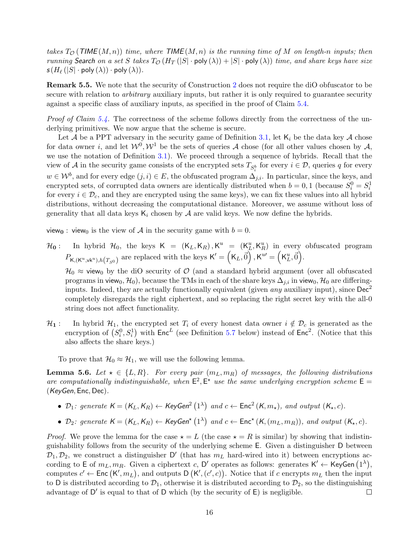takes  $T_{\mathcal{O}}($   $\mathsf{TIME}(M,n)$  time, where  $\mathsf{TIME}(M,n)$  is the running time of M on length-n inputs; then running Search on a set S takes  $T_{\mathcal{O}}(H_T(|S| \cdot \text{poly}(\lambda)) + |S| \cdot \text{poly}(\lambda))$  time, and share keys have size  $s(H_\ell (|S| \cdot \text{poly}(\lambda)) \cdot \text{poly}(\lambda)).$ 

Remark 5.5. We note that the security of Construction [2](#page-13-0) does not require the diO obfuscator to be secure with relation to *arbitrary* auxiliary inputs, but rather it is only required to guarantee security against a specific class of auxiliary inputs, as specified in the proof of Claim [5.4.](#page-14-1)

Proof of Claim [5.4.](#page-14-1) The correctness of the scheme follows directly from the correctness of the underlying primitives. We now argue that the scheme is secure.

Let A be a PPT adversary in the security game of Definition [3.1,](#page-7-2) let  $K_i$  be the data key A chose for data owner *i*, and let  $W^0, W^1$  be the sets of queries A chose (for all other values chosen by A, we use the notation of Definition [3.1\)](#page-7-2). We proceed through a sequence of hybrids. Recall that the view of A in the security game consists of the encrypted sets  $T_{S_i^b}$  for every  $i \in \mathcal{D}$ , queries q for every  $w \in \mathcal{W}^b$ , and for every edge  $(j, i) \in E$ , the obfuscated program  $\Delta_{j,i}$ . In particular, since the keys, and encrypted sets, of corrupted data owners are identically distributed when  $b = 0, 1$  (because  $S_i^0 = S_i^1$ for every  $i \in \mathcal{D}_c$ , and they are encrypted using the same keys), we can fix these values into all hybrid distributions, without decreasing the computational distance. Moreover, we assume without loss of generality that all data keys  $\mathsf{K}_i$  chosen by  $\mathcal A$  are valid keys. We now define the hybrids.

view<sub>0</sub>: view<sub>0</sub> is the view of A in the security game with  $b = 0$ .

 $\mathcal{H}_0$ : In hybrid  $\mathcal{H}_0$ , the keys  $K = (K_L, K_R), K^u = (K^u_L, K^u_R)$  in every obfuscated program  $P_{\mathsf{K},(\mathsf{K}^u,\mathsf{vk}^u),h(T_{S^0})}$  are replaced with the keys  $\mathsf{K}' = (\mathsf{K}_L,\vec{\mathsf{0}}), \mathsf{K}^u = (\mathsf{K}_L^u,\vec{\mathsf{0}}).$ 

 $\mathcal{H}_0 \approx$  view<sub>0</sub> by the diO security of O (and a standard hybrid argument (over all obfuscated programs in view<sub>0</sub>,  $\mathcal{H}_0$ ), because the TMs in each of the share keys  $\Delta_{j,i}$  in view<sub>0</sub>,  $\mathcal{H}_0$  are differinginputs. Indeed, they are actually functionally equivalent (given *any* auxiliary input), since  $\text{Dec}^2$ completely disregards the right ciphertext, and so replacing the right secret key with the all-0 string does not affect functionality.

 $\mathcal{H}_1$ : In hybrid  $\mathcal{H}_1$ , the encrypted set  $T_i$  of every honest data owner  $i \notin \mathcal{D}_c$  is generated as the encryption of  $(S_i^0, S_i^1)$  with  $\mathsf{Enc}^L$  (see Definition [5.7](#page-18-1) below) instead of  $\mathsf{Enc}^2$ . (Notice that this also affects the share keys.)

To prove that  $\mathcal{H}_0 \approx \mathcal{H}_1$ , we will use the following lemma.

<span id="page-15-0"></span>**Lemma 5.6.** Let  $\star \in \{L, R\}$ . For every pair  $(m_L, m_R)$  of messages, the following distributions are computationally indistinguishable, when  $E^2$ ,  $E^*$  use the same underlying encryption scheme  $E =$ (KeyGen, Enc, Dec).

- $\mathcal{D}_1$ : generate  $K = (K_L, K_R) \leftarrow \text{KeyGen}^2 (1^{\lambda})$  and  $c \leftarrow \text{Enc}^2 (K, m_{\star})$ , and output  $(K_{\star}, c)$ .
- $\mathcal{D}_2$ : generate  $K = (K_L, K_R) \leftarrow \text{KeyGen}^*(1^{\lambda})$  and  $c \leftarrow \text{Enc}^*(K, (m_L, m_R)),$  and output  $(K_{\star}, c)$ .

*Proof.* We prove the lemma for the case  $\star = L$  (the case  $\star = R$  is similar) by showing that indistinguishability follows from the security of the underlying scheme E. Given a distinguisher D between  $\mathcal{D}_1, \mathcal{D}_2$ , we construct a distinguisher D' (that has  $m<sub>L</sub>$  hard-wired into it) between encryptions according to E of  $m_L, m_R$ . Given a ciphertext c, D' operates as follows: generates  $K' \leftarrow \text{KeyGen} (1^{\lambda}),$ computes  $c' \leftarrow \mathsf{Enc}(\mathsf{K}', m_L)$ , and outputs  $\mathsf{D}(\mathsf{K}', (c', c))$ . Notice that if c encrypts  $m_L$  then the input to D is distributed according to  $\mathcal{D}_1$ , otherwise it is distributed according to  $\mathcal{D}_2$ , so the distinguishing advantage of  $D'$  is equal to that of  $D$  which (by the security of  $E$ ) is negligible.  $\Box$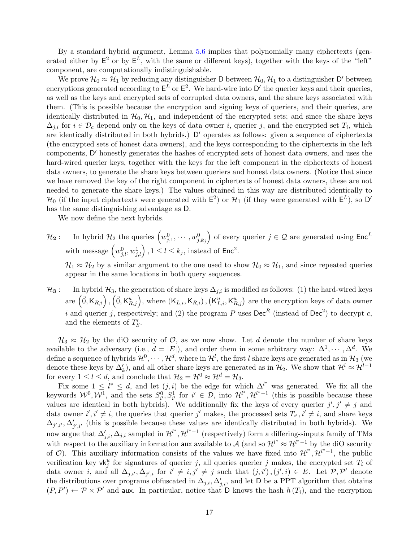By a standard hybrid argument, Lemma [5.6](#page-15-0) implies that polynomially many ciphertexts (generated either by  $E^2$  or by  $E^L$ , with the same or different keys), together with the keys of the "left" component, are computationally indistinguishable.

We prove  $\mathcal{H}_0 \approx \mathcal{H}_1$  by reducing any distinguisher D between  $\mathcal{H}_0$ ,  $\mathcal{H}_1$  to a distinguisher D' between encryptions generated according to  $E^L$  or  $E^2$ . We hard-wire into D' the querier keys and their queries, as well as the keys and encrypted sets of corrupted data owners, and the share keys associated with them. (This is possible because the encryption and signing keys of queriers, and their queries, are identically distributed in  $\mathcal{H}_0, \mathcal{H}_1$ , and independent of the encrypted sets; and since the share keys  $\Delta_{j,i}$  for  $i \in \mathcal{D}_c$  depend only on the keys of data owner i, querier j, and the encrypted set  $T_i$ , which are identically distributed in both hybrids.) D' operates as follows: given a sequence of ciphertexts (the encrypted sets of honest data owners), and the keys corresponding to the ciphertexts in the left components, D' honestly generates the hashes of encrypted sets of honest data owners, and uses the hard-wired querier keys, together with the keys for the left component in the ciphertexts of honest data owners, to generate the share keys between queriers and honest data owners. (Notice that since we have removed the key of the right component in ciphertexts of honest data owners, these are not needed to generate the share keys.) The values obtained in this way are distributed identically to  $\mathcal{H}_0$  (if the input ciphertexts were generated with  $\mathsf{E}^2$ ) or  $\mathcal{H}_1$  (if they were generated with  $\mathsf{E}^L$ ), so D' has the same distinguishing advantage as D.

We now define the next hybrids.

 $\mathcal{H}_2: \quad$  In hybrid  $\mathcal{H}_2$  the queries  $\left(w_{j,1}^0,\cdots,w_{j,k_j}^0\right)$  of every querier  $j\in\mathcal{Q}$  are generated using  $\mathsf{Enc}^L$ with message  $\left(w_{j,l}^0, w_{j,l}^1\right), 1 \leq l \leq k_j$ , instead of Enc<sup>2</sup>.

 $\mathcal{H}_1 \approx \mathcal{H}_2$  by a similar argument to the one used to show  $\mathcal{H}_0 \approx \mathcal{H}_1$ , and since repeated queries appear in the same locations in both query sequences.

 $\mathcal{H}_3$ : In hybrid  $\mathcal{H}_3$ , the generation of share keys  $\Delta_{j,i}$  is modified as follows: (1) the hard-wired keys are  $(\vec{0}, \mathsf{K}_{R,i}^u), (\vec{0}, \mathsf{K}_{R,j}^u),$  where  $(\mathsf{K}_{L,i}, \mathsf{K}_{R,i})$ ,  $(\mathsf{K}_{L,i}^u, \mathsf{K}_{R,j}^u)$  are the encryption keys of data owner i and querier j, respectively; and (2) the program P uses Dec<sup>R</sup> (instead of Dec<sup>2</sup>) to decrypt c, and the elements of  $T_S'$ .

 $\mathcal{H}_3 \approx \mathcal{H}_2$  by the diO security of  $\mathcal{O}$ , as we now show. Let d denote the number of share keys available to the adversary (i.e.,  $d = |E|$ ), and order them in some arbitrary way:  $\Delta^1, \cdots, \Delta^d$ . We define a sequence of hybrids  $\mathcal{H}^0,\cdots,\mathcal{H}^d,$  where in  $\mathcal{H}^l,$  the first  $l$  share keys are generated as in  $\mathcal{H}_3$  (we denote these keys by  $\Delta'_k$ ), and all other share keys are generated as in  $\mathcal{H}_2$ . We show that  $\mathcal{H}^l \approx \mathcal{H}^{l-1}$ for every  $1 \leq l \leq d$ , and conclude that  $\mathcal{H}_2 = \mathcal{H}^0 \approx \mathcal{H}^d = \mathcal{H}_3$ .

Fix some  $1 \leq l^* \leq d$ , and let  $(j, i)$  be the edge for which  $\Delta^{l^*}$  was generated. We fix all the keywords  $\mathcal{W}^0, \mathcal{W}^1$ , and the sets  $S^0_{i'}, S^1_{i'}$  for  $i' \in \mathcal{D}$ , into  $\mathcal{H}^{l^*}, \mathcal{H}^{l^*-1}$  (this is possible because these values are identical in both hybrids). We additionally fix the keys of every querier  $j', j' \neq j$  and data owner  $i', i' \neq i$ , the queries that querier j' makes, the processed sets  $T_{i'}, i' \neq i$ , and share keys  $\Delta_{j',i'}$ ,  $\Delta'_{j',i'}$  (this is possible because these values are identically distributed in both hybrids). We now argue that  $\Delta'_{j,i}, \Delta_{j,i}$  sampled in  $\mathcal{H}^{l^*}, \mathcal{H}^{l^{*}-1}$  (respectively) form a differing-sinputs family of TMs with respect to the auxiliary information aux available to A (and so  $\mathcal{H}^{l^*} \approx \mathcal{H}^{l^*-1}$  by the diO security of  $\mathcal{O}$ ). This auxiliary information consists of the values we have fixed into  $\mathcal{H}^{l^*}, \mathcal{H}^{l^*-1}$ , the public verification key  $\mathsf{vk}_j^u$  for signatures of querier j, all queries querier j makes, the encrypted set  $T_i$  of data owner *i*, and all  $\Delta_{j,i'}, \Delta_{j',i}$  for  $i' \neq i, j' \neq j$  such that  $(j,i'),(j',i) \in E$ . Let  $\mathcal{P}, \mathcal{P}'$  denote the distributions over programs obfuscated in  $\Delta_{j,i}, \Delta'_{j,i}$ , and let D be a PPT algorithm that obtains  $(P, P') \leftarrow P \times P'$  and aux. In particular, notice that D knows the hash  $h(T_i)$ , and the encryption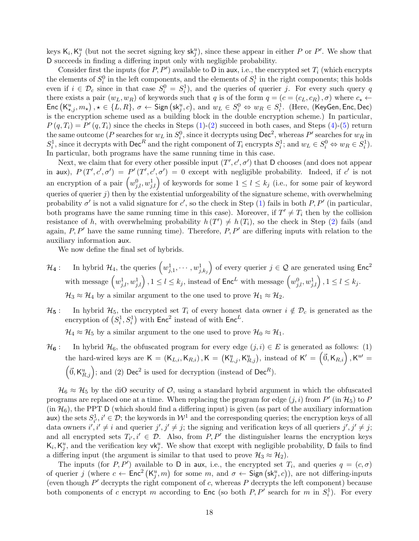keys  $\mathsf{K}_i, \mathsf{K}_j^u$  (but not the secret signing key  $\mathsf{sk}_j^u$ ), since these appear in either P or P'. We show that D succeeds in finding a differing input only with negligible probability.

Consider first the inputs (for  $P, P'$ ) available to D in aux, i.e., the encrypted set  $T_i$  (which encrypts the elements of  $S_i^0$  in the left components, and the elements of  $S_i^1$  in the right components; this holds even if  $i \in \mathcal{D}_c$  since in that case  $S_i^0 = S_i^1$ , and the queries of querier j. For every such query q there exists a pair  $(w_L, w_R)$  of keywords such that q is of the form  $q = (c = (c_L, c_R), \sigma)$  where  $c_* \leftarrow$  $\mathsf{Enc}\left(\mathsf{K}_{\star,j}^u,m_{\star}\right), \star \in \{L,R\}, \sigma \leftarrow \mathsf{Sign}\left(\mathsf{sk}_j^u,c\right), \text{ and } w_L \in S_i^0 \Leftrightarrow w_R \in S_i^1.$  (Here, (KeyGen, Enc, Dec) is the encryption scheme used as a building block in the double encryption scheme.) In particular,  $P(q,T_i) = P'(q,T_i)$  since the checks in Steps [\(1\)](#page-14-2)-[\(2\)](#page-14-3) succeed in both cases, and Steps [\(4\)](#page-14-4)-[\(5\)](#page-14-5) return the same outcome (P searches for  $w_L$  in  $S_i^0$ , since it decrypts using Dec<sup>2</sup>, whereas P' searches for  $w_R$  in  $S_i^1$ , since it decrypts with  $\text{Dec}^R$  and the right component of  $T_i$  encrypts  $S_i^1$ ; and  $w_L \in S_i^0 \Leftrightarrow w_R \in S_i^1$ . In particular, both programs have the same running time in this case.

Next, we claim that for every other possible input  $(T', c', \sigma')$  that D chooses (and does not appear in aux),  $P(T', c', \sigma') = P'(T', c', \sigma') = 0$  except with negligible probability. Indeed, if c' is not an encryption of a pair  $(w_{j,l}^0, w_{j,l}^1)$  of keywords for some  $1 \leq l \leq k_j$  (i.e., for some pair of keyword queries of querier  $j$ ) then by the existential unforgeability of the signature scheme, with overwhelming probability  $\sigma'$  is not a valid signature for c', so the check in Step [\(1\)](#page-14-2) fails in both P, P' (in particular, both programs have the same running time in this case). Moreover, if  $T' \neq T_i$  then by the collision resistance of h, with overwhelming probability  $h(T') \neq h(T_i)$ , so the check in Step [\(2\)](#page-14-3) fails (and again,  $P, P'$  have the same running time). Therefore,  $P, P'$  are differing inputs with relation to the auxiliary information aux.

We now define the final set of hybrids.

- $\mathcal{H}_{4}: \quad$  In hybrid  $\mathcal{H}_{4},$  the queries  $\left(w^{1}_{j,1},\cdots,w^{1}_{j,k_{j}}\right)$  of every querier  $j\in\mathcal{Q}$  are generated using Enc<sup>2</sup> with message  $(w_{j,l}^1, w_{j,l}^1), 1 \leq l \leq k_j$ , instead of  $\text{Enc}^L$  with message  $(w_{j,l}^0, w_{j,l}^1), 1 \leq l \leq k_j$ .  $\mathcal{H}_3 \approx \mathcal{H}_4$  by a similar argument to the one used to prove  $\mathcal{H}_1 \approx \mathcal{H}_2$ .
- $\mathcal{H}_5$ : In hybrid  $\mathcal{H}_5$ , the encrypted set  $T_i$  of every honest data owner  $i \notin \mathcal{D}_c$  is generated as the encryption of  $(S_i^1, S_i^1)$  with  $\mathsf{Enc}^2$  instead of with  $\mathsf{Enc}^L$ .

 $\mathcal{H}_4 \approx \mathcal{H}_5$  by a similar argument to the one used to prove  $\mathcal{H}_0 \approx \mathcal{H}_1$ .

 $\mathcal{H}_6$ : In hybrid  $\mathcal{H}_6$ , the obfuscated program for every edge  $(j, i) \in E$  is generated as follows: (1) the hard-wired keys are  $\mathsf{K} = (\mathsf{K}_{L,i}, \mathsf{K}_{R,i})$ ,  $\mathsf{K} = (\mathsf{K}_{L,j}^u, \mathsf{K}_{R,j}^u)$ , instead of  $\mathsf{K}' = (\vec{0}, \mathsf{K}_{R,i})$ ,  $\mathsf{K}^w =$  $(\vec{0}, K_{R,j}^u)$ ; and (2) Dec<sup>2</sup> is used for decryption (instead of Dec<sup>R</sup>).

 $\mathcal{H}_6 \approx \mathcal{H}_5$  by the diO security of  $\mathcal{O}$ , using a standard hybrid argument in which the obfuscated programs are replaced one at a time. When replacing the program for edge  $(j, i)$  from  $P'$  (in  $\mathcal{H}_5$ ) to  $P$  $(in \mathcal{H}_6)$ , the PPT D (which should find a differing input) is given (as part of the auxiliary information aux) the sets  $S_i^1, i' \in \mathcal{D}$ ; the keywords in  $\mathcal{W}^1$  and the corresponding queries; the encryption keys of all data owners  $i', i' \neq i$  and querier  $j', j' \neq j$ ; the signing and verification keys of all queriers  $j', j' \neq j$ ; and all encrypted sets  $T_{i'}, i' \in \mathcal{D}$ . Also, from  $P, P'$  the distinguisher learns the encryption keys  $\mathsf{K}_i, \mathsf{K}_j^u$ , and the verification key  $\mathsf{vk}_j^u$ . We show that except with negligible probability, D fails to find a differing input (the argument is similar to that used to prove  $\mathcal{H}_3 \approx \mathcal{H}_2$ ).

The inputs (for P, P') available to D in aux, i.e., the encrypted set  $T_i$ , and queries  $q = (c, \sigma)$ of querier j (where  $c \leftarrow \textsf{Enc}^2(\mathsf{K}_j^u, m)$  for some  $m$ , and  $\sigma \leftarrow \textsf{Sign}(\mathsf{sk}_j^u, c)$ ), are not differing-inputs (even though  $P'$  decrypts the right component of c, whereas P decrypts the left component) because both components of c encrypt m according to Enc (so both  $P, P'$  search for m in  $S_i^1$ ). For every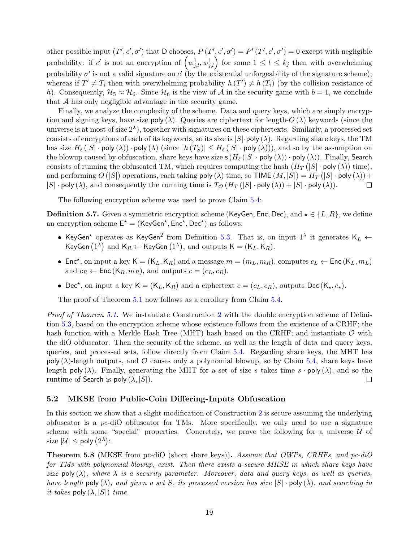other possible input  $(T', c', \sigma')$  that D chooses,  $P(T', c', \sigma') = P'(T', c', \sigma') = 0$  except with negligible probability: if c' is not an encryption of  $(w_{j,l}^1, w_{j,l}^1)$  for some  $1 \leq l \leq k_j$  then with overwhelming probability  $\sigma'$  is not a valid signature on  $c'$  (by the existential unforgeability of the signature scheme); whereas if  $T' \neq T_i$  then with overwhelming probability  $h(T') \neq h(T_i)$  (by the collision resistance of h). Consequently,  $\mathcal{H}_5 \approx \mathcal{H}_6$ . Since  $\mathcal{H}_6$  is the view of A in the security game with  $b = 1$ , we conclude that A has only negligible advantage in the security game.

Finally, we analyze the complexity of the scheme. Data and query keys, which are simply encryption and signing keys, have size poly ( $\lambda$ ). Queries are ciphertext for length-O ( $\lambda$ ) keywords (since the universe is at most of size  $2^{\lambda}$ ), together with signatures on these ciphertexts. Similarly, a processed set consists of encryptions of each of its keywords, so its size is  $|S|$ ·poly ( $\lambda$ ). Regarding share keys, the TM has size  $H_\ell(|S| \cdot \text{poly}(\lambda)) \cdot \text{poly}(\lambda)$  (since  $|h(T_S)| \leq H_\ell(|S| \cdot \text{poly}(\lambda))$ ), and so by the assumption on the blowup caused by obfuscation, share keys have size  $\mathsf{s}(H_\ell(|S| \cdot \mathsf{poly}(\lambda)) \cdot \mathsf{poly}(\lambda))$ . Finally, Search consists of running the obfuscated TM, which requires computing the hash  $(H_T (|S| \cdot \text{poly}(\lambda)))$  time), and performing  $O(|S|)$  operations, each taking poly ( $\lambda$ ) time, so TIME  $(M, |S|) = H_T(|S| \cdot \text{poly}(\lambda)) +$  $|S| \cdot \text{poly}(\lambda)$ , and consequently the running time is  $T_{\mathcal{O}}(H_T(|S| \cdot \text{poly}(\lambda)) + |S| \cdot \text{poly}(\lambda)).$  $\Box$ 

The following encryption scheme was used to prove Claim [5.4:](#page-14-1)

<span id="page-18-1"></span>**Definition 5.7.** Given a symmetric encryption scheme (KeyGen, Enc, Dec), and  $\star \in \{L, R\}$ , we define an encryption scheme  $E^* = (KeyGen^*, Enc^*, Dec^*)$  as follows:

- KeyGen<sup>\*</sup> operates as KeyGen<sup>2</sup> from Definition [5.3.](#page-13-1) That is, on input  $1^{\lambda}$  it generates K<sub>L</sub>  $\leftarrow$ KeyGen  $(1^{\lambda})$  and  $K_R \leftarrow$  KeyGen  $(1^{\lambda})$ , and outputs  $K = (K_L, K_R)$ .
- Enc<sup>\*</sup>, on input a key  $K = (K_L, K_R)$  and a message  $m = (m_L, m_R)$ , computes  $c_L \leftarrow \text{Enc}(K_L, m_L)$ and  $c_R \leftarrow \mathsf{Enc}\left(\mathsf{K}_R, m_R\right)$ , and outputs  $c = (c_L, c_R)$ .
- Dec<sup>\*</sup>, on input a key  $K = (K_L, K_R)$  and a ciphertext  $c = (c_L, c_R)$ , outputs Dec $(K_{\star}, c_{\star})$ .

The proof of Theorem [5.1](#page-12-2) now follows as a corollary from Claim [5.4.](#page-14-1)

Proof of Theorem [5.1.](#page-12-2) We instantiate Construction [2](#page-13-0) with the double encryption scheme of Definition [5.3,](#page-13-1) based on the encryption scheme whose existence follows from the existence of a CRHF; the hash function with a Merkle Hash Tree (MHT) hash based on the CRHF; and instantiate  $\mathcal O$  with the diO obfuscator. Then the security of the scheme, as well as the length of data and query keys, queries, and processed sets, follow directly from Claim [5.4.](#page-14-1) Regarding share keys, the MHT has poly  $(\lambda)$ -length outputs, and  $\mathcal O$  causes only a polynomial blowup, so by Claim [5.4,](#page-14-1) share keys have length poly  $(\lambda)$ . Finally, generating the MHT for a set of size s takes time s · poly  $(\lambda)$ , and so the runtime of Search is poly  $(\lambda, |S|)$ .  $\Box$ 

#### <span id="page-18-0"></span>5.2 MKSE from Public-Coin Differing-Inputs Obfuscation

In this section we show that a slight modification of Construction [2](#page-13-0) is secure assuming the underlying obfuscator is a pc-diO obfuscator for TMs. More specifically, we only need to use a signature scheme with some "special" properties. Concretely, we prove the following for a universe  $U$  of size  $|\mathcal{U}| \leq$  poly  $(2^{\lambda})$ :

<span id="page-18-2"></span>**Theorem 5.8** (MKSE from pc-diO (short share keys)). Assume that OWPs, CRHFs, and pc-diO for TMs with polynomial blowup, exist. Then there exists a secure MKSE in which share keys have size poly  $(\lambda)$ , where  $\lambda$  is a security parameter. Moreover, data and query keys, as well as queries, have length poly ( $\lambda$ ), and given a set S, its processed version has size  $|S| \cdot \text{poly}(\lambda)$ , and searching in it takes poly  $(\lambda, |S|)$  time.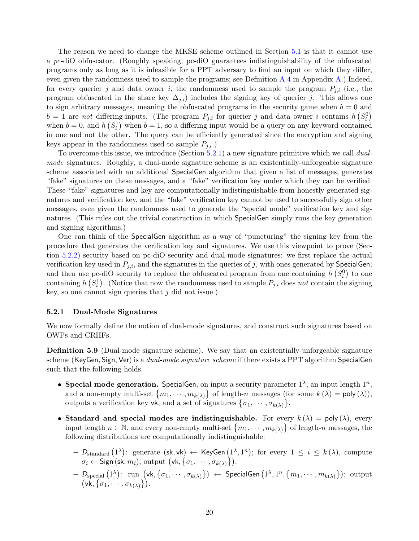The reason we need to change the MKSE scheme outlined in Section [5.1](#page-12-1) is that it cannot use a pc-diO obfuscator. (Roughly speaking, pc-diO guarantees indistinguishability of the obfuscated programs only as long as it is infeasible for a PPT adversary to find an input on which they differ, even given the randomness used to sample the programs; see Definition [A.4](#page-34-0) in Appendix [A.](#page-33-0)) Indeed, for every querier j and data owner i, the randomness used to sample the program  $P_{j,i}$  (i.e., the program obfuscated in the share key  $\Delta_{i,i}$ ) includes the signing key of querier j. This allows one to sign arbitrary messages, meaning the obfuscated programs in the security game when  $b = 0$  and  $b = 1$  are not differing-inputs. (The program  $P_{j,i}$  for querier j and data owner i contains  $h(S_i^0)$ when  $b = 0$ , and  $h(S_i^1)$  when  $b = 1$ , so a differing input would be a query on any keyword contained in one and not the other. The query can be efficiently generated since the encryption and signing keys appear in the randomness used to sample  $P_{j,i}$ .)

To overcome this issue, we introduce (Section  $5.2.1$ ) a new signature primitive which we call *dual*mode signatures. Roughly, a dual-mode signature scheme is an existentially-unforgeable signature scheme associated with an additional SpecialGen algorithm that given a list of messages, generates "fake" signatures on these messages, and a "fake" verification key under which they can be verified. These "fake" signatures and key are computationally indistinguishable from honestly generated signatures and verification key, and the "fake" verification key cannot be used to successfully sign other messages, even given the randomness used to generate the "special mode" verification key and signatures. (This rules out the trivial construction in which SpecialGen simply runs the key generation and signing algorithms.)

One can think of the SpecialGen algorithm as a way of "puncturing" the signing key from the procedure that generates the verification key and signatures. We use this viewpoint to prove (Section [5.2.2\)](#page-25-0) security based on pc-diO security and dual-mode signatures: we first replace the actual verification key used in  $P_{j,i}$ , and the signatures in the queries of j, with ones generated by SpecialGen; and then use pc-diO security to replace the obfuscated program from one containing  $h(S_i^0)$  to one containing  $h(S_i)$ . (Notice that now the randomness used to sample  $P_{j,i}$  does not contain the signing key, so one cannot sign queries that  $j$  did not issue.)

#### <span id="page-19-0"></span>5.2.1 Dual-Mode Signatures

We now formally define the notion of dual-mode signatures, and construct such signatures based on OWPs and CRHFs.

<span id="page-19-1"></span>Definition 5.9 (Dual-mode signature scheme). We say that an existentially-unforgeable signature scheme (KeyGen, Sign, Ver) is a *dual-mode signature scheme* if there exists a PPT algorithm SpecialGen such that the following holds.

- Special mode generation. Special Gen, on input a security parameter  $1^{\lambda}$ , an input length  $1^{n}$ , and a non-empty multi-set  ${m_1, \dots, m_{k(\lambda)}}$  of length-n messages (for some  $k(\lambda) = \text{poly}(\lambda)$ ), outputs a verification key vk, and a set of signatures  $\{\sigma_1, \cdots, \sigma_{k(\lambda)}\}.$
- Standard and special modes are indistinguishable. For every  $k(\lambda) = poly(\lambda)$ , every input length  $n \in \mathbb{N}$ , and every non-empty multi-set  ${m_1, \dots, m_{k(\lambda)}}$  of length-n messages, the following distributions are computationally indistinguishable:
	- $\mathcal{D}_{\mathrm{standard}}\left(1^{\lambda}\right)$ : generate (sk, vk)  $\leftarrow$  KeyGen  $(1^{\lambda},1^n);$  for every  $1\,\leq\,i\,\leq\,k\left(\lambda\right),$  compute  $\sigma_i \leftarrow \mathsf{Sign}\left(\mathsf{sk}, m_i\right); \, \text{output}\, \left(\mathsf{vk}, \left\{\sigma_1, \cdots, \sigma_{k(\lambda)}\right\}\right).$
	- $\mathcal{D}_{\text{special}}\left(1^{\lambda}\right)$ :  $\text{run (vk, } \{\sigma_1, \cdots, \sigma_{k(\lambda)}\}) \ \leftarrow \text{SpecialGen}\left(1^{\lambda}, 1^n, \{m_1, \cdots, m_{k(\lambda)}\}\right); \text{ output}$  $(\mathsf{vk}, \{\sigma_1, \cdots, \sigma_{k(\lambda)}\}).$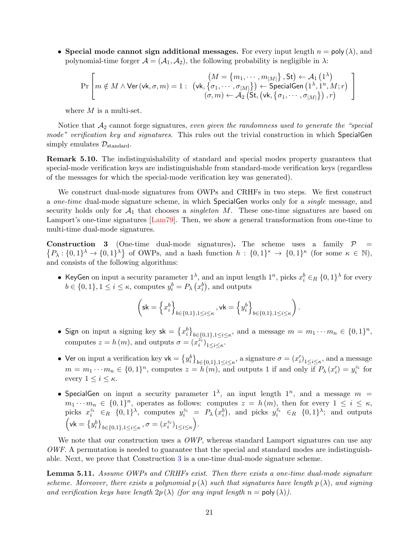• Special mode cannot sign additional messages. For every input length  $n = poly(\lambda)$ , and polynomial-time forger  $A = (A_1, A_2)$ , the following probability is negligible in  $\lambda$ :

$$
\Pr\left[m \notin M \wedge \textsf{Ver}\left(\mathsf{vk},\sigma,m\right)=1: \begin{array}{c} \left(M=\left\{m_1,\cdots,m_{|M|}\right\},\mathsf{St}\right) \leftarrow \mathcal{A}_1\left(1^{\lambda}\right) \\ \left(\mathsf{vk},\left\{\sigma_1,\cdots,\sigma_{|M|}\right\}\right) \leftarrow \mathsf{SpecialGen}\left(1^{\lambda},1^n,M;r\right) \\ \left(\sigma,m\right) \leftarrow \mathcal{A}_2\left(\mathsf{St},\left(\mathsf{vk},\left\{\sigma_1,\cdots,\sigma_{|M|}\right\}\right),r\right) \end{array}\right]\right.
$$

where  $M$  is a multi-set.

Notice that  $A_2$  cannot forge signatures, even given the randomness used to generate the "special" mode" verification key and signatures. This rules out the trivial construction in which SpecialGen simply emulates  $\mathcal{D}_{\text{standard}}$ .

<span id="page-20-1"></span>Remark 5.10. The indistinguishability of standard and special modes property guarantees that special-mode verification keys are indistinguishable from standard-mode verification keys (regardless of the messages for which the special-mode verification key was generated).

We construct dual-mode signatures from OWPs and CRHFs in two steps. We first construct a one-time dual-mode signature scheme, in which SpecialGen works only for a single message, and security holds only for  $A_1$  that chooses a *singleton M*. These one-time signatures are based on Lamport's one-time signatures [\[Lam79\]](#page-32-11). Then, we show a general transformation from one-time to multi-time dual-mode signatures.

<span id="page-20-0"></span>**Construction 3** (One-time dual-mode signatures). The scheme uses a family  $P =$  $\{P_\lambda: \{0,1\}^\lambda \to \{0,1\}^\lambda\}$  of OWPs, and a hash function  $h: \{0,1\}^* \to \{0,1\}^\kappa$  (for some  $\kappa \in \mathbb{N}$ ), and consists of the following algorithms:

• KeyGen on input a security parameter  $1^{\lambda}$ , and an input length  $1^n$ , picks  $x_i^b \in_R \{0,1\}^{\lambda}$  for every  $b \in \{0, 1\}, 1 \leq i \leq \kappa$ , computes  $y_i^b = P_\lambda(x_i^b)$ , and outputs

$$
\left(\mathsf{sk} = \left\{x_i^b\right\}_{b \in \{0,1\}, 1 \le i \le \kappa}, \mathsf{vk} = \left\{y_i^b\right\}_{b \in \{0,1\}, 1 \le i \le \kappa}\right).
$$

- Sign on input a signing key  $sk = \{x_i^b\}_{b \in \{0,1\}, 1 \le i \le \kappa}$ , and a message  $m = m_1 \cdots m_n \in \{0,1\}^n$ , computes  $z = h(m)$ , and outputs  $\sigma = (x_i^{z_i})_{1 \leq i \leq \kappa}$ .
- Ver on input a verification key  $\mathsf{vk} = \{y_i^b\}_{b \in \{0,1\}, 1 \le i \le \kappa}$ , a signature  $\sigma = (x_i')_{1 \le i \le \kappa}$ , and a message  $m = m_1 \cdots m_n \in \{0,1\}^n$ , computes  $z = h(m)$ , and outputs 1 if and only if  $P_\lambda(x_i') = y_i^{z_i}$  for every  $1 \leq i \leq \kappa$ .
- SpecialGen on input a security parameter  $1^{\lambda}$ , an input length  $1^n$ , and a message  $m =$  $m_1 \cdots m_n \in \{0,1\}^n$ , operates as follows: computes  $z = h(m)$ , then for every  $1 \leq i \leq \kappa$ , picks  $x_i^{z_i} \in_R \{0,1\}^{\lambda}$ , computes  $y_i^{z_i} = P_{\lambda}(x_i^b)$ , and picks  $y_i^{\overline{z}_i} \in_R \{0,1\}^{\lambda}$ ; and outputs  $\left(\mathsf{vk} = \left\{y_i^b\right\}_{b \in \{0,1\}, 1 \le i \le \kappa}, \sigma = (x_i^{z_i})_{1 \le i \le \kappa}\right).$

We note that our construction uses a  $OWP$ , whereas standard Lamport signatures can use any OWF. A permutation is needed to guarantee that the special and standard modes are indistinguishable. Next, we prove that Construction [3](#page-20-0) is a one-time dual-mode signature scheme.

<span id="page-20-2"></span>**Lemma 5.11.** Assume OWPs and CRHFs exist. Then there exists a one-time dual-mode signature scheme. Moreover, there exists a polynomial  $p(\lambda)$  such that signatures have length  $p(\lambda)$ , and signing and verification keys have length  $2p(\lambda)$  (for any input length  $n = \text{poly}(\lambda)$ ).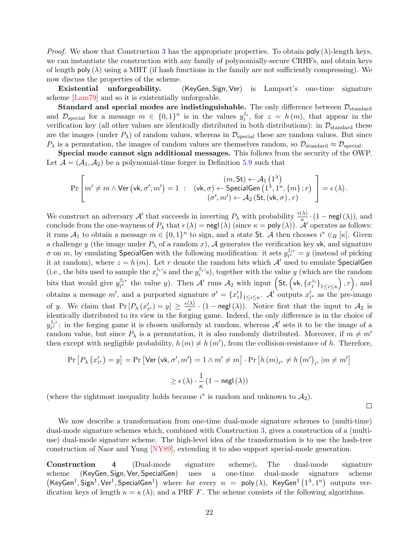*Proof.* We show that Construction [3](#page-20-0) has the appropriate properties. To obtain poly ( $\lambda$ )-length keys, we can instantiate the construction with any family of polynomially-secure CRHFs, and obtain keys of length poly  $(\lambda)$  using a MHT (if hash functions in the family are not sufficiently compressing). We now discuss the properties of the scheme.

Existential unforgeability. (KeyGen, Sign, Ver) is Lamport's one-time signature scheme [\[Lam79\]](#page-32-11) and so it is existentially unforgeable.

**Standard and special modes are indistinguishable.** The only difference between  $\mathcal{D}_{standard}$ and  $\mathcal{D}_{\text{special}}$  for a message  $m \in \{0,1\}^n$  is in the values  $y_i^{\bar{z}_i}$ , for  $z = h(m)$ , that appear in the verification key (all other values are identically distributed in both distributions): in  $\mathcal{D}_{standard}$  these are the images (under  $P_{\lambda}$ ) of random values, whereas in  $\mathcal{D}_{\text{special}}$  these are random values. But since  $P_{\lambda}$  is a permutation, the images of random values are themselves random, so  $\mathcal{D}_{standard} \approx \mathcal{D}_{special}$ .

Special mode cannot sign additional messages. This follows from the security of the OWP. Let  $A = (A_1, A_2)$  be a polynomial-time forger in Definition [5.9](#page-19-1) such that

$$
\Pr\left[m'\neq m \wedge \textsf{Ver}\left(\textsf{vk},\sigma',m'\right)=1\;:\; \begin{array}{c}(m,\textsf{St})\leftarrow\mathcal{A}_1\left(1^{\lambda}\right)\\(\sigma',m')\leftarrow\textsf{SpecialGen}\left(1^{\lambda},1^{n},\{m\}\,;r\right)\\(\sigma',m')\leftarrow\mathcal{A}_2\left(\textsf{St},(\textsf{vk},\sigma)\,,r\right)\end{array}\right]\right)=\epsilon\left(\lambda\right).
$$

We construct an adversary  $\mathcal{A}'$  that succeeds in inverting  $P_\lambda$  with probability  $\frac{\epsilon(\lambda)}{\kappa} \cdot (1 - \mathsf{negl}(\lambda))$ , and conclude from the one-wayness of  $P_\lambda$  that  $\epsilon(\lambda) = \text{negl}(\lambda)$  (since  $\kappa = \text{poly}(\lambda)$ ).  $\mathcal{A}'$  operates as follows: it runs  $A_1$  to obtain a message  $m \in \{0,1\}^n$  to sign, and a state St. A then chooses  $i^* \in_R [\kappa]$ . Given a challenge y (the image under  $P_{\lambda}$  of a random x), A generates the verification key vk, and signature  $\sigma$  on m, by emulating SpecialGen with the following modification: it sets  $y_i^{\bar{z}_{i^*}}=y$  (instead of picking it at random), where  $z = h(m)$ . Let r denote the random bits which A' used to emulate SpecialGen (i.e., the bits used to sample the  $x_i^{z_i}$ 's and the  $y_i^{z_i}$ 's), together with the value y (which are the random bits that would give  $y_{i^*}^{\bar{z}_{i^*}}$  the value y). Then A' runs A<sub>2</sub> with input  $(\mathsf{St}, \left(\mathsf{vk}, \{x_i^{z_i}\}_{1 \le i \le \kappa}\right), r),$  and obtains a message m', and a purported signature  $\sigma' = \{x_i'\}_{1 \le i \le \kappa}$ . A' outputs  $x'_{i^*}$  as the pre-image of y. We claim that  $Pr[P_{\lambda}(x'_{i^*}) = y] \geq \frac{\epsilon(\lambda)}{\kappa}$  $\frac{\lambda}{\kappa} \cdot (1 - \text{negl}(\lambda)).$  Notice first that the input to  $\mathcal{A}_2$  is identically distributed to its view in the forging game. Indeed, the only difference is in the choice of  $y_{i^*}^{\bar{z}_{i^*}}$ : in the forging game it is chosen uniformly at random, whereas  $\mathcal{A}'$  sets it to be the image of a random value, but since  $P_{\lambda}$  is a permutation, it is also randomly distributed. Moreover, if  $m \neq m'$ then except with negligible probability,  $h(m) \neq h(m')$ , from the collision-resistance of h. Therefore,

$$
\Pr\left[P_{\lambda}\left(x'_{i^{*}}\right)=y\right]=\Pr\left[\text{Ver}\left(\text{vk}, \sigma', m'\right)=1 \land m' \neq m\right] \cdot \Pr\left[h\left(m\right)_{i^{*}} \neq h\left(m'\right)_{i^{*}} | m \neq m'\right]
$$
\n
$$
\geq \epsilon\left(\lambda\right) \cdot \frac{1}{\kappa}\left(1-\text{negl}\left(\lambda\right)\right)
$$

(where the rightmost inequality holds because  $i^*$  is random and unknown to  $\mathcal{A}_2$ ).

We now describe a transformation from one-time dual-mode signature schemes to (multi-time) dual-mode signature schemes which, combined with Construction [3,](#page-20-0) gives a construction of a (multiuse) dual-mode signature scheme. The high-level idea of the transformation is to use the hash-tree construction of Naor and Yung [\[NY89\]](#page-32-12), extending it to also support special-mode generation.

 $\Box$ 

<span id="page-21-0"></span>Construction 4 (Dual-mode signature scheme). The dual-mode signature scheme (KeyGen, Sign, Ver, SpecialGen) uses a one-time dual-mode signature scheme  $(KeyGen<sup>1</sup>, Sign<sup>1</sup>, Ver<sup>1</sup>, SpecialGen<sup>1</sup>)$  where for every  $n = poly(\lambda)$ , KeyGen<sup>1</sup>  $(1^{\lambda}, 1^n)$  outputs verification keys of length  $\kappa = \kappa(\lambda)$ ; and a PRF F. The scheme consists of the following algorithms.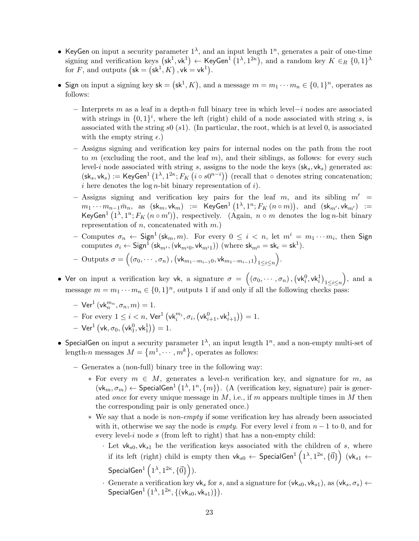- KeyGen on input a security parameter  $1^{\lambda}$ , and an input length  $1^n$ , generates a pair of one-time signing and verification keys  $(\mathsf{sk}^1, \mathsf{vk}^1) \leftarrow \mathsf{KeyGen}^1\left(1^\lambda, 1^{2\kappa}\right),$  and a random key  $K \in_R \{0,1\}^\lambda$ for F, and outputs  $(\mathsf{sk} = (\mathsf{sk}^1, K), \mathsf{vk} = \mathsf{vk}^1).$
- Sign on input a signing key  $sk = (sk^1, K)$ , and a message  $m = m_1 \cdots m_n \in \{0, 1\}^n$ , operates as follows:
	- Interprets m as a leaf in a depth-n full binary tree in which level−i nodes are associated with strings in  $\{0,1\}^i$ , where the left (right) child of a node associated with string s, is associated with the string  $s0(s1)$ . (In particular, the root, which is at level 0, is associated with the empty string  $\epsilon$ .)
	- Assigns signing and verification key pairs for internal nodes on the path from the root to  $m$  (excluding the root, and the leaf  $m$ ), and their siblings, as follows: for every such level-i node associated with string s, assigns to the node the keys  $({\bf s}_{\rm s}, {\bf v}_{\rm s})$  generated as:  $({\sf sk}_s, {\sf v}{\sf k}_s) := {\sf KeyGen}^1\left(1^\lambda, 1^{2\kappa}; F_K\left(i \circ s0^{n-i}\right)\right)$  (recall that  $\circ$  denotes string concatenation; i here denotes the  $\log n$ -bit binary representation of i).
	- Assigns signing and verification key pairs for the leaf m, and its sibling  $m'$  =  $m_1 \cdots m_{n-1} \bar{m}_n$ , as  $(\mathsf{sk}_m, \mathsf{vk}_m)$  :=  $\mathsf{KeyGen}^1\left(1^\lambda, 1^n; F_K\left(n \circ m\right)\right)$ , and  $(\mathsf{sk}_{m'}, \mathsf{vk}_{m'})$  := KeyGen<sup>1</sup>  $(1^{\lambda}, 1^n; F_K (n \circ m'))$ , respectively. (Again,  $n \circ m$  denotes the log *n*-bit binary representation of  $n$ , concatenated with  $m$ .)
	- Computes  $\sigma_n$   $\leftarrow$  Sign<sup>1</sup> (sk<sub>m</sub>, m). For every  $0 \leq i \leq n$ , let  $m^i = m_1 \cdots m_i$ , then Sign computes  $\sigma_i \leftarrow \mathsf{Sign}^1\left(\mathsf{sk}_{m^i},\left(\mathsf{vk}_{m^i0},\mathsf{vk}_{m^i1}\right)\right)$  (where  $\mathsf{sk}_{m^0} = \mathsf{sk}_\epsilon = \mathsf{sk}^1$ ).
	- Outputs  $\sigma = ((\sigma_0, \cdots, \sigma_n), (\mathsf{vk}_{m_1\cdots m_{i-1}0}, \mathsf{vk}_{m_1\cdots m_{i-1}1})_{1\leq i\leq n}).$
- Ver on input a verification key vk, a signature  $\sigma = ((\sigma_0, \cdots, \sigma_n), (\mathsf{vk}_i^0, \mathsf{vk}_i^1)_{1 \leq i \leq n}),$  and a message  $m = m_1 \cdots m_n \in \{0, 1\}^n$ , outputs 1 if and only if all the following checks pass:
	- $-$  Ver $^1$  (vk $_n^{m_n}, \sigma_n, m) = 1.$
	- $-$  For every  $1 \leq i < n$ ,  $\mathsf{Ver}^1\left(\mathsf{vk}^{m_i}_i, \sigma_i, \left(\mathsf{vk}^0_{i+1}, \mathsf{vk}^1_{i+1}\right)\right) = 1.$
	- $\mathsf{Ver}^1\left(\mathsf{vk}, \sigma_0, \left(\mathsf{vk}_1^0, \mathsf{vk}_1^1\right)\right) = 1.$
- SpecialGen on input a security parameter  $1^{\lambda}$ , an input length  $1^n$ , and a non-empty multi-set of length-n messages  $M = \{m^1, \cdots, m^k\}$ , operates as follows:
	- Generates a (non-full) binary tree in the following way:
		- ∗ For every m ∈ M, generates a level-n verification key, and signature for m, as  $(vk_m, \sigma_m) \leftarrow$  SpecialGen<sup>1</sup>  $(1^{\lambda}, 1^n, \{m\})$ . (A (verification key, signature) pair is generated once for every unique message in  $M$ , i.e., if m appears multiple times in  $M$  then the corresponding pair is only generated once.)
		- ∗ We say that a node is non-empty if some verification key has already been associated with it, otherwise we say the node is *empty*. For every level i from  $n-1$  to 0, and for every level-i node s (from left to right) that has a non-empty child:
			- · Let  $vk_{s0}, vk_{s1}$  be the verification keys associated with the children of s, where if its left (right) child is empty then  $\mathsf{vk}_{s0} \leftarrow \mathsf{SpecialGen}^1\left(1^\lambda, 1^{2\kappa}, \{\vec{0}\}\right)$  (v $\mathsf{k}_{s1} \leftarrow$  $\mathsf{SpecialGen}^{1}\left(1^{\lambda},1^{2\kappa},\{\vec{0}\}\right)).$
			- · Generate a verification key vk<sub>s</sub> for s, and a signature for  $(vk_{s0}, vk_{s1}),$  as  $(vk_s, \sigma_s)$   $\leftarrow$  $\mathsf{SpecialGen}^1\left(1^\lambda, 1^{2\kappa}, \{(\mathsf{vk}_{s0}, \mathsf{vk}_{s1})\}\right).$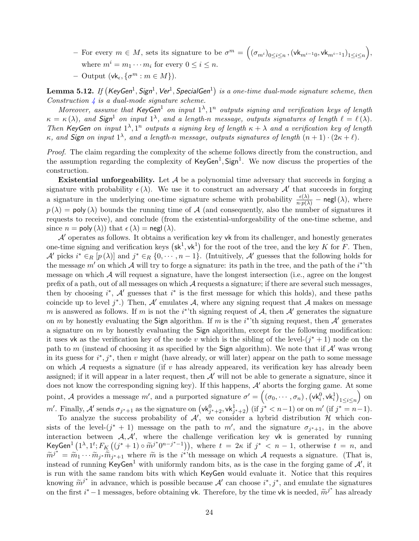$-$  For every  $m \in M$ , sets its signature to be  $\sigma^m = \left( (\sigma_{m^i})_{0 \leq i \leq n}, (\mathsf{vk}_{m^{i-1}0}, \mathsf{vk}_{m^{i-1}1})_{1 \leq i \leq n} \right)$ , where  $m^i = m_1 \cdots m_i$  for every  $0 \leq i \leq n$ .  $-$  Output ( $\mathsf{vk}_{\epsilon}, \{\sigma^m : m \in M\}$ ).

<span id="page-23-0"></span>**Lemma 5.12.** If (KeyGen<sup>1</sup>, Sign<sup>1</sup>, Ver<sup>1</sup>, SpecialGen<sup>1</sup>) is a one-time dual-mode signature scheme, then Construction  $\angle$  is a dual-mode signature scheme.

Moreover, assume that KeyGen<sup>1</sup> on input  $1^{\lambda}$ , 1<sup>n</sup> outputs signing and verification keys of length  $\kappa = \kappa(\lambda)$ , and Sign<sup>1</sup> on input 1<sup> $\lambda$ </sup>, and a length-n message, outputs signatures of length  $\ell = \ell(\lambda)$ . Then KeyGen on input  $1^{\lambda}$ ,  $1^n$  outputs a signing key of length  $\kappa + \lambda$  and a verification key of length  $\kappa$ , and Sign on input  $1^{\lambda}$ , and a length-n message, outputs signatures of length  $(n+1) \cdot (2\kappa+\ell)$ .

Proof. The claim regarding the complexity of the scheme follows directly from the construction, and the assumption regarding the complexity of  $\text{KeyGen}^1$ ,  $\text{Sign}^1$ . We now discuss the properties of the construction.

**Existential unforgeability.** Let  $\mathcal A$  be a polynomial time adversary that succeeds in forging a signature with probability  $\epsilon(\lambda)$ . We use it to construct an adversary  $\mathcal{A}'$  that succeeds in forging a signature in the underlying one-time signature scheme with probability  $\frac{\epsilon(\lambda)}{n \cdot p(\lambda)}$  – negl( $\lambda$ ), where  $p(\lambda) =$  poly ( $\lambda$ ) bounds the running time of A (and consequently, also the number of signatures it requests to receive), and conclude (from the existential-unforgeability of the one-time scheme, and since  $n = \text{poly}(\lambda)$  that  $\epsilon(\lambda) = \text{negl}(\lambda)$ .

 $\mathcal{A}'$  operates as follows. It obtains a verification key vk from its challenger, and honestly generates one-time signing and verification keys  $(\mathsf{sk}^1, \mathsf{vk}^1)$  for the root of the tree, and the key K for F. Then, A' picks  $i^* \in_R [p(\lambda)]$  and  $j^* \in_R \{0, \cdots, n-1\}$ . (Intuitively, A' guesses that the following holds for the message  $m'$  on which A will try to forge a signature: its path in the tree, and the path of the  $i^*$ 'th message on which A will request a signature, have the longest intersection (i.e., agree on the longest prefix of a path, out of all messages on which  $A$  requests a signature; if there are several such messages, then by choosing  $i^*$ ,  $\mathcal{A}'$  guesses that  $i^*$  is the first message for which this holds), and these paths coincide up to level  $j^*$ .) Then,  $\mathcal{A}'$  emulates  $\mathcal{A}$ , where any signing request that  $\mathcal{A}$  makes on message m is answered as follows. If m is not the i<sup>\*</sup>'th signing request of A, then A' generates the signature on m by honestly evaluating the Sign algorithm. If m is the  $i^*$ 'th signing request, then  $\mathcal{A}'$  generates a signature on  $m$  by honestly evaluating the Sign algorithm, except for the following modification: it uses vk as the verification key of the node v which is the sibling of the level- $(j^* + 1)$  node on the path to m (instead of choosing it as specified by the Sign algorithm). We note that if  $\mathcal{A}'$  was wrong in its guess for  $i^*, j^*$ , then v might (have already, or will later) appear on the path to some message on which  $A$  requests a signature (if v has already appeared, its verification key has already been assigned; if it will appear in a later request, then  $A'$  will not be able to generate a signature, since it does not know the corresponding signing key). If this happens,  $\mathcal{A}'$  aborts the forging game. At some point, A provides a message m', and a purported signature  $\sigma' = \left((\sigma_0, \dots, \sigma_n), (\mathsf{vk}_i^0, \mathsf{vk}_i^1)_{1 \leq i \leq n}\right)$  on m'. Finally, A' sends  $\sigma_{j^*+1}$  as the signature on  $(v k_{j^*+2}^0, v k_{j^*+2}^1)$  (if  $j^* < n-1$ ) or on m' (if  $j^* = n-1$ ).

To analyze the success probability of  $\mathcal{A}'$ , we consider a hybrid distribution  $\mathcal{H}$  which consists of the level- $(j^* + 1)$  message on the path to m', and the signature  $\sigma_{j^*+1}$ , in the above interaction between  $A, A'$ , where the challenge verification key vk is generated by running KeyGen<sup>1</sup>  $(1^{\lambda}, 1^t; F_K((j^*+1) \circ \tilde{m}^{j^*} 0^{n-j^*-1})),$  where  $t = 2\kappa$  if  $j^* < n-1$ , otherwise  $t = n$ , and  $\tilde{m}^{j^*} = \tilde{m}$ ,  $\tilde{m} \circ \tilde{m}$  is the  $i^*$ ; the negation on which A request a signature (That is  $\widetilde{m}^{j^*} = \widetilde{m}_1 \cdots \widetilde{m}_{j^*} \overline{\widetilde{m}}_{j^*+1}$  where  $\widetilde{m}$  is the  $i^{*'}$ th message on which A requests a signature. (That is, instead of running  $KovC_n$ <sup>1</sup> with uniformly random bits, as is the gase in the forg instead of running KeyGen<sup>1</sup> with uniformly random bits, as is the case in the forging game of  $\mathcal{A}'$ , it is run with the same random bits with which KeyGen would evaluate it. Notice that this requires knowing  $\tilde{m}^{j^*}$  in advance, which is possible because  $\mathcal{A}'$  can choose  $i^*, j^*$ , and emulate the signatures on the first  $i^* - 1$  messages, before obtaining vk. Therefore, by the time vk is needed,  $\tilde{m}^{j^*}$  has already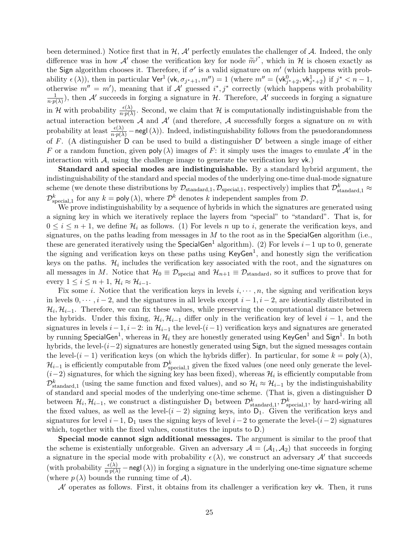been determined.) Notice first that in  $H$ ,  $\mathcal A'$  perfectly emulates the challenger of  $\mathcal A$ . Indeed, the only difference was in how A' chose the verification key for node  $\tilde{m}^{j^*}$ , which in H is chosen exactly as the Sign electric choose it. Therefore, if  $\sigma'$  is a valid signature on  $m'$  (which happens with probthe Sign algorithm chooses it. Therefore, if  $\sigma'$  is a valid signature on  $m'$  (which happens with probability  $\epsilon(\lambda)$ ), then in particular  $\text{Ver}^1(\text{vk}, \sigma_{j^*+1}, m'') = 1$  (where  $m'' = (\text{vk}_{j^*+2}^0, \text{vk}_{j^*+2}^1)$  if  $j^* < n-1$ , otherwise  $m'' = m'$ , meaning that if A' guessed  $i^*, j^*$  correctly (which happens with probability 1  $\frac{1}{n\cdot p(\lambda)}$ , then A' succeeds in forging a signature in H. Therefore, A' succeeds in forging a signature in H with probability  $\frac{\epsilon(\lambda)}{n \cdot p(\lambda)}$ . Second, we claim that H is computationally indistinguishable from the actual interaction between A and  $A'$  (and therefore, A successfully forges a signature on m with probability at least  $\frac{\epsilon(\lambda)}{n \cdot p(\lambda)}$  – negl( $\lambda$ )). Indeed, indistinguishability follows from the psuedorandomness of F. (A distinguisher  $\overline{D}$  can be used to build a distinguisher  $D'$  between a single image of either F or a random function, given poly ( $\lambda$ ) images of F: it simply uses the images to emulate A' in the interaction with  $\mathcal{A}$ , using the challenge image to generate the verification key vk.)

Standard and special modes are indistinguishable. By a standard hybrid argument, the indistinguishability of the standard and special modes of the underlying one-time dual-mode signature  $\mathcal{S}$  scheme (we denote these distributions by  $\mathcal{D}_{\text{standard},1}$ ,  $\mathcal{D}_{\text{special},1}$ , respectively) implies that  $\mathcal{D}^k_{\text{standard},1} \approx$  $\mathcal{D}^k_{\text{special},1}$  for any  $k = \text{poly}(\lambda)$ , where  $\mathcal{D}^k$  denotes k independent samples from  $\mathcal{D}$ .

We prove indistinguishability by a sequence of hybrids in which the signatures are generated using a signing key in which we iteratively replace the layers from "special" to "standard". That is, for  $0 \leq i \leq n+1$ , we define  $\mathcal{H}_i$  as follows. (1) For levels n up to i, generate the verification keys, and signatures, on the paths leading from messages in  $M$  to the root as in the SpecialGen algorithm (i.e., these are generated iteratively using the  ${\sf SpecialGen}^1$  algorithm). (2) For levels  $i-1$  up to 0, generate the signing and verification keys on these paths using  $\text{KeyGen}^1$ , and honestly sign the verification keys on the paths.  $\mathcal{H}_i$  includes the verification key associated with the root, and the signatures on all messages in M. Notice that  $\mathcal{H}_0 \equiv \mathcal{D}_{\text{special}}$  and  $\mathcal{H}_{n+1} \equiv \mathcal{D}_{\text{standard}}$ , so it suffices to prove that for every  $1 \leq i \leq n+1$ ,  $\mathcal{H}_i \approx \mathcal{H}_{i-1}$ .

Fix some i. Notice that the verification keys in levels  $i, \dots, n$ , the signing and verification keys in levels  $0, \dots, i-2$ , and the signatures in all levels except  $i-1, i-2$ , are identically distributed in  $\mathcal{H}_i, \mathcal{H}_{i-1}$ . Therefore, we can fix these values, while preserving the computational distance between the hybrids. Under this fixing,  $\mathcal{H}_i$ ,  $\mathcal{H}_{i-1}$  differ only in the verification key of level  $i-1$ , and the signatures in levels  $i-1$ ,  $i-2$ : in  $\mathcal{H}_{i-1}$  the level- $(i-1)$  verification keys and signatures are generated by running  $\sf SpecialGen^1,$  whereas in  $\mathcal{H}_i$  they are honestly generated using  $\sf KeyGen^1$  and  $\sf Sign^1.$  In both hybrids, the level- $(i-2)$  signatures are honestly generated using Sign, but the signed messages contain the level- $(i - 1)$  verification keys (on which the hybrids differ). In particular, for some  $k = \text{poly}(\lambda)$ ,  $\mathcal{H}_{i-1}$  is efficiently computable from  $\mathcal{D}^k_{\text{special},1}$  given the fixed values (one need only generate the level- $(i-2)$  signatures, for which the signing key has been fixed), whereas  $\mathcal{H}_i$  is efficiently computable from  $\mathcal{D}^k_{\text{standard},1}$  (using the same function and fixed values), and so  $\mathcal{H}_i \approx \mathcal{H}_{i-1}$  by the indistinguishability of standard and special modes of the underlying one-time scheme. (That is, given a distinguisher D between  $\mathcal{H}_i, \mathcal{H}_{i-1}$ , we construct a distinguisher  $D_1$  between  $\mathcal{D}^k_{\text{standard},1}, \mathcal{D}^k_{\text{special},1}$ , by hard-wiring all the fixed values, as well as the level- $(i - 2)$  signing keys, into  $D_1$ . Given the verification keys and signatures for level  $i-1$ ,  $D_1$  uses the signing keys of level  $i-2$  to generate the level- $(i-2)$  signatures which, together with the fixed values, constitutes the inputs to  $D$ .)

Special mode cannot sign additional messages. The argument is similar to the proof that the scheme is existentially unforgeable. Given an adversary  $A = (A_1, A_2)$  that succeeds in forging a signature in the special mode with probability  $\epsilon(\lambda)$ , we construct an adversary  $\mathcal{A}'$  that succeeds (with probability  $\frac{\epsilon(\lambda)}{n \cdot p(\lambda)}$  – negl( $\lambda$ )) in forging a signature in the underlying one-time signature scheme (where  $p(\lambda)$  bounds the running time of  $\mathcal{A}$ ).

 $\mathcal{A}'$  operates as follows. First, it obtains from its challenger a verification key vk. Then, it runs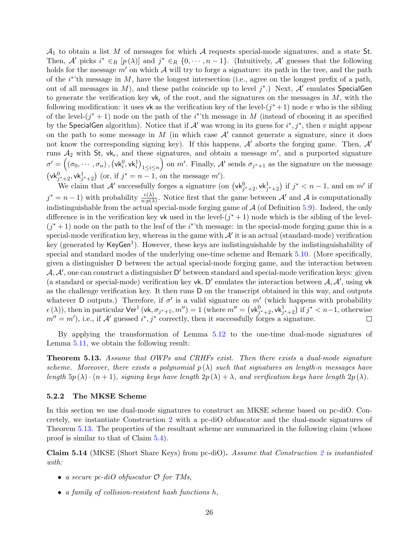$A_1$  to obtain a list M of messages for which A requests special-mode signatures, and a state St. Then, A' picks  $i^* \in_R [p(\lambda)]$  and  $j^* \in_R \{0, \dots, n-1\}$ . (Intuitively, A' guesses that the following holds for the message  $m'$  on which A will try to forge a signature: its path in the tree, and the path of the  $i^*$ 'th message in  $M$ , have the longest intersection (i.e., agree on the longest prefix of a path, out of all messages in  $M$ ), and these paths coincide up to level  $j^*$ .) Next,  $A'$  emulates SpecialGen to generate the verification key  $\mathsf{vk}_\epsilon$  of the root, and the signatures on the messages in M, with the following modification: it uses vk as the verification key of the level- $(j^* + 1)$  node v who is the sibling of the level- $(j^* + 1)$  node on the path of the i<sup>\*</sup>'th message in M (instead of choosing it as specified by the SpecialGen algorithm). Notice that if  $\mathcal{A}'$  was wrong in its guess for  $i^*, j^*$ , then v might appear on the path to some message in M (in which case  $A'$  cannot generate a signature, since it does not know the corresponding signing key). If this happens,  $\mathcal{A}'$  aborts the forging game. Then,  $\mathcal{A}'$ runs  $A_2$  with St, vk<sub>e</sub>, and these signatures, and obtain a message m', and a purported signature  $\sigma' = \left((\sigma_0, \cdots, \sigma_n), (\mathsf{vk}_i^0, \mathsf{vk}_i^1)_{1 \leq i \leq n}\right)$  on m'. Finally,  $\mathcal{A}'$  sends  $\sigma_{j^*+1}$  as the signature on the message  $(vk_{j^*+2}^0, vk_{j^*+2}^1)$  (or, if  $j^* = n - 1$ , on the message m').

We claim that A' successfully forges a signature (on  $(v k_{j^*+2}^0, v k_{j^*+2}^1)$  if  $j^* < n-1$ , and on m' if  $j^* = n - 1$ ) with probability  $\frac{\epsilon(\lambda)}{n \cdot p(\lambda)}$ . Notice first that the game between  $\mathcal{A}'$  and  $\mathcal{A}$  is computationally indistinguishable from the actual special-mode forging game of  $A$  (of Definition [5.9\)](#page-19-1). Indeed, the only difference is in the verification key vk used in the level- $(j^* + 1)$  node which is the sibling of the level- $(j^* + 1)$  node on the path to the leaf of the *i*<sup>\*</sup>'th message: in the special-mode forging game this is a special-mode verification key, whereas in the game with  $A'$  it is an actual (standard-mode) verification key (generated by KeyGen<sup>1</sup>). However, these keys are indistinguishable by the indistinguishability of special and standard modes of the underlying one-time scheme and Remark [5.10.](#page-20-1) (More specifically, given a distinguisher D between the actual special-mode forging game, and the interaction between  $A, A'$ , one can construct a distinguisher D' between standard and special-mode verification keys: given (a standard or special-mode) verification key vk,  $D'$  emulates the interaction between  $A, A'$ , using vk as the challenge verification key. It then runs D on the transcript obtained in this way, and outputs whatever D outputs.) Therefore, if  $\sigma'$  is a valid signature on m' (which happens with probability  $\epsilon(\lambda)$ ), then in particular  $\text{Ver}^1(\text{vk}, \sigma_{j^*+1}, m'') = 1$  (where  $m'' = (\text{vk}_{j^*+2}^0, \text{vk}_{j^*+2}^1)$  if  $j^* < n-1$ , otherwise  $m'' = m'$ , i.e., if A' guessed  $i^*, j^*$  correctly, then it successfully forges a signature.  $\Box$ 

By applying the transformation of Lemma [5.12](#page-23-0) to the one-time dual-mode signatures of Lemma [5.11,](#page-20-2) we obtain the following result:

<span id="page-25-1"></span>Theorem 5.13. Assume that OWPs and CRHFs exist. Then there exists a dual-mode signature scheme. Moreover, there exists a polynomial  $p(\lambda)$  such that signatures on length-n messages have length  $5p(\lambda) \cdot (n+1)$ , signing keys have length  $2p(\lambda) + \lambda$ , and verification keys have length  $2p(\lambda)$ .

#### <span id="page-25-0"></span>5.2.2 The MKSE Scheme

In this section we use dual-mode signatures to construct an MKSE scheme based on pc-diO. Concretely, we instantiate Construction [2](#page-13-0) with a pc-diO obfuscator and the dual-mode signatures of Theorem [5.13.](#page-25-1) The properties of the resultant scheme are summarized in the following claim (whose proof is similar to that of Claim [5.4\)](#page-14-1).

<span id="page-25-2"></span>Claim 5.14 (MKSE (Short Share Keys) from pc-diO). Assume that Construction [2](#page-13-0) is instantiated with:

- a secure pc-diO obfuscator  $\mathcal O$  for TMs,
- a family of collision-resistent hash functions h,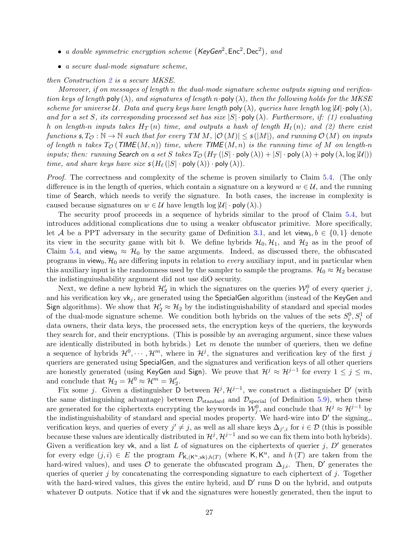- a double symmetric encryption scheme (KeyGen<sup>2</sup>, Enc<sup>2</sup>, Dec<sup>2</sup>), and
- a secure dual-mode signature scheme,

#### then Construction [2](#page-13-0) is a secure MKSE.

Moreover, if on messages of length n the dual-mode signature scheme outputs signing and verification keys of length poly  $(\lambda)$ , and signatures of length n·poly  $(\lambda)$ , then the following holds for the MKSE scheme for universe U. Data and query keys have length poly  $(\lambda)$ , queries have length  $\log |\mathcal{U}| \cdot \text{poly}(\lambda)$ , and for a set S, its corresponding processed set has size  $|S| \cdot \text{poly}(\lambda)$ . Furthermore, if: (1) evaluating h on length-n inputs takes  $H_T(n)$  time, and outputs a hash of length  $H_\ell(n)$ ; and (2) there exist functions  $\mathsf{s}, T_{\mathcal{O}} : \mathbb{N} \to \mathbb{N}$  such that for every TM M,  $|\mathcal{O}(M)| \leq \mathsf{s}(|M|)$ , and running  $\mathcal{O}(M)$  on inputs of length n takes  $T_{\mathcal{O}}($ TIME $(M, n)$ ) time, where TIME $(M, n)$  is the running time of M on length-n inputs; then: running Search on a set S takes  $T_{\mathcal{O}}(H_T(|S| \cdot \text{poly}(\lambda)) + |S| \cdot \text{poly}(\lambda) + \text{poly}(\lambda, \log |\mathcal{U}|))$ time, and share keys have size  $\mathsf{s}(H_\ell(|S| \cdot \mathsf{poly}(\lambda)) \cdot \mathsf{poly}(\lambda)).$ 

Proof. The correctness and complexity of the scheme is proven similarly to Claim [5.4.](#page-14-1) (The only difference is in the length of queries, which contain a signature on a keyword  $w \in \mathcal{U}$ , and the running time of Search, which needs to verify the signature. In both cases, the increase in complexity is caused because signatures on  $w \in \mathcal{U}$  have length  $\log |\mathcal{U}| \cdot \text{poly}(\lambda)$ .)

The security proof proceeds in a sequence of hybrids similar to the proof of Claim [5.4,](#page-14-1) but introduces additional complications due to using a weaker obfuscator primitive. More specifically, let A be a PPT adversary in the security game of Definition [3.1,](#page-7-2) and let view,  $b \in \{0,1\}$  denote its view in the security game with bit b. We define hybrids  $\mathcal{H}_0, \mathcal{H}_1$ , and  $\mathcal{H}_2$  as in the proof of Claim [5.4,](#page-14-1) and view<sub>0</sub>  $\approx$   $\mathcal{H}_0$  by the same arguments. Indeed, as discussed there, the obfuscated programs in view<sub>0</sub>,  $\mathcal{H}_0$  are differing inputs in relation to *every* auxiliary input, and in particular when this auxiliary input is the randomness used by the sampler to sample the programs.  $\mathcal{H}_0 \approx \mathcal{H}_2$  because the indistinguiushability argument did not use diO security.

Next, we define a new hybrid  $\mathcal{H}'_2$  in which the signatures on the queries  $\mathcal{W}_j^0$  of every querier j, and his verification key  $vk_j$ , are generated using the SpecialGen algorithm (instead of the KeyGen and Sign algorithms). We show that  $\mathcal{H}'_2 \approx \mathcal{H}_2$  by the indistinguishability of standard and special modes of the dual-mode signature scheme. We condition both hybrids on the values of the sets  $S_i^0, S_i^1$  of data owners, their data keys, the processed sets, the encryption keys of the queriers, the keywords they search for, and their encryptions. (This is possible by an averaging argument, since these values are identically distributed in both hybrids.) Let  $m$  denote the number of queriers, then we define a sequence of hybrids  $\mathcal{H}^0, \dots, \mathcal{H}^m$ , where in  $\mathcal{H}^j$ , the signatures and verification key of the first j queriers are generated using SpecialGen, and the signatures and verification keys of all other queriers are honestly generated (using KeyGen and Sign). We prove that  $\mathcal{H}^j \approx \mathcal{H}^{j-1}$  for every  $1 \leq j \leq m$ , and conclude that  $\mathcal{H}_2 = \mathcal{H}^0 \approx \mathcal{H}^m = \mathcal{H}'_2$ .

Fix some j. Given a distinguisher D between  $\mathcal{H}^j$ ,  $\mathcal{H}^{j-1}$ , we construct a distinguisher D' (with the same distinguishing advantage) between  $\mathcal{D}_{standard}$  and  $\mathcal{D}_{special}$  (of Definition [5.9\)](#page-19-1), when these are generated for the ciphertexts encrypting the keywords in  $\mathcal{W}_j^0$ , and conclude that  $\mathcal{H}^j \approx \mathcal{H}^{j-1}$  by the indistinguishability of standard and special modes property. We hard-wire into  $D'$  the signing, verification keys, and queries of every  $j' \neq j$ , as well as all share keys  $\Delta_{j',i}$  for  $i \in \mathcal{D}$  (this is possible because these values are identically distributed in  $\mathcal{H}^{j}$ ,  $\mathcal{H}^{j-1}$  and so we can fix them into both hybrids). Given a verification key vk, and a list L of signatures on the ciphertexts of querier j,  $D'$  generates for every edge  $(j,i) \in E$  the program  $P_{\mathsf{K},(\mathsf{K}^u,\mathsf{vk}),h(T)}$  (where  $\mathsf{K},\mathsf{K}^u$ , and  $h(T)$  are taken from the hard-wired values), and uses  $\mathcal O$  to generate the obfuscated program  $\Delta_{j,i}$ . Then, D' generates the queries of querier j by concatenating the corresponding signature to each ciphertext of j. Together with the hard-wired values, this gives the entire hybrid, and  $D'$  runs D on the hybrid, and outputs whatever D outputs. Notice that if vk and the signatures were honestly generated, then the input to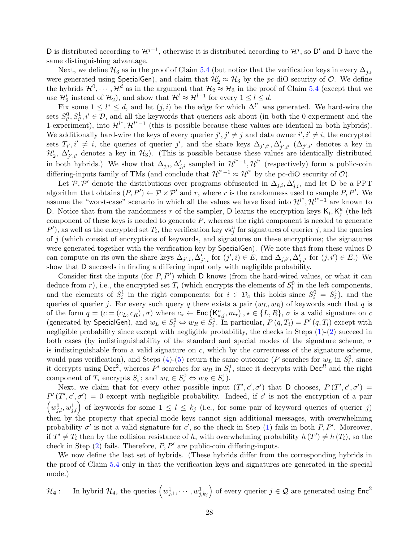D is distributed according to  $\mathcal{H}^{j-1}$ , otherwise it is distributed according to  $\mathcal{H}^j$ , so D' and D have the same distinguishing advantage.

Next, we define  $\mathcal{H}_3$  as in the proof of Claim [5.4](#page-14-1) (but notice that the verification keys in every  $\Delta_{j,i}$ were generated using SpecialGen), and claim that  $\mathcal{H}'_2 \approx \mathcal{H}_3$  by the pc-diO security of  $\mathcal{O}$ . We define the hybrids  $\mathcal{H}^0, \cdots, \mathcal{H}^d$  as in the argument that  $\mathcal{H}_2 \approx \mathcal{H}_3$  in the proof of Claim [5.4](#page-14-1) (except that we use  $\mathcal{H}'_2$  instead of  $\mathcal{H}_2$ ), and show that  $\mathcal{H}^l \approx \mathcal{H}^{l-1}$  for every  $1 \leq l \leq d$ .

Fix some  $1 \leq l^* \leq d$ , and let  $(j, i)$  be the edge for which  $\Delta^{l^*}$  was generated. We hard-wire the sets  $S_{i'}^0, S_{i'}^1, i' \in \mathcal{D}$ , and all the keywords that queriers ask about (in both the 0-experiment and the 1-experiment), into  $\mathcal{H}^{l^*}, \mathcal{H}^{l^*-1}$  (this is possible because these values are identical in both hybrids). We additionally hard-wire the keys of every querier  $j', j' \neq j$  and data owner  $i', i' \neq i$ , the encrypted sets  $T_{i'}$ ,  $i' \neq i$ , the queries of querier j', and the share keys  $\Delta_{j',i'}$ ,  $\Delta'_{j',i'}$  ( $\Delta_{j',i'}$  denotes a key in  $\mathcal{H}'_2$ ,  $\Delta'_{j',i'}$  denotes a key in  $\mathcal{H}_3$ ). (This is possible because these values are identically distributed in both hybrids.) We show that  $\Delta_{j,i}$ ,  $\Delta'_{j,i}$  sampled in  $\mathcal{H}^{l^*-1}, \mathcal{H}^{l^*}$  (respectively) form a public-coin differing-inputs family of TMs (and conclude that  $\mathcal{H}^{l^*-1} \approx \mathcal{H}^{l^*}$  by the pc-diO security of  $\mathcal{O}$ ).

Let P, P' denote the distributions over programs obfuscated in  $\Delta_{j,i}, \Delta'_{j,i}$ , and let D be a PPT algorithm that obtains  $(P, P') \leftarrow P \times P'$  and r, where r is the randomness used to sample P, P'. We assume the "worst-case" scenario in which all the values we have fixed into  $\mathcal{H}^{l^*}, \mathcal{H}^{l^*-1}$  are known to D. Notice that from the randomness r of the sampler, D learns the encryption keys  $\mathsf{K}_i$ ,  $\mathsf{K}_j^u$  (the left component of these keys is needed to generate  $P$ , whereas the right component is needed to generate  $P'$ ), as well as the encrypted set  $T_i$ , the verification key vk<sub>y</sub><sup>u</sup> for signatures of querier j, and the queries of  $j$  (which consist of encryptions of keywords, and signatures on these encryptions; the signatures were generated together with the verification key by SpecialGen). (We note that from these values D can compute on its own the share keys  $\Delta_{j',i}, \Delta'_{j',i}$  for  $(j',i) \in E$ , and  $\Delta_{j,i'}$ ,  $\Delta'_{j,i'}$  for  $(j,i') \in E$ .) We show that D succeeds in finding a differing input only with negligible probability.

Consider first the inputs (for  $P, P'$ ) which D knows (from the hard-wired values, or what it can deduce from r), i.e., the encrypted set  $T_i$  (which encrypts the elements of  $S_i^0$  in the left components, and the elements of  $S_i^1$  in the right components; for  $i \in \mathcal{D}_c$  this holds since  $S_i^0 = S_i^1$ , and the queries of querier j. For every such query q there exists a pair  $(w_L, w_R)$  of keywords such that q is of the form  $q = (c = (c_L, c_R), \sigma)$  where  $c_{\star} \leftarrow \textsf{Enc}(\mathsf{K}_{\star,j}^u, m_{\star}), \star \in \{L, R\}, \sigma$  is a valid signature on c (generated by SpecialGen), and  $w_L \in S_i^0 \Leftrightarrow w_R \in S_i^1$ . In particular,  $P(q,T_i) = P'(q,T_i)$  except with negligible probability since except with negligible probability, the checks in Steps [\(1\)](#page-14-2)-[\(2\)](#page-14-3) succeed in both cases (by indistinguishability of the standard and special modes of the signature scheme,  $\sigma$ is indistinguishable from a valid signature on  $c$ , which by the correctness of the signature scheme, would pass verification), and Steps [\(4\)](#page-14-4)-[\(5\)](#page-14-5) return the same outcome (P searches for  $w_L$  in  $S_i^0$ , since it decrypts using  $\text{Dec}^2$ , whereas P' searches for  $w_R$  in  $S_i^1$ , since it decrypts with  $\text{Dec}^R$  and the right component of  $T_i$  encrypts  $S_i^1$ ; and  $w_L \in S_i^0 \Leftrightarrow w_R \in S_i^1$ .

Next, we claim that for every other possible input  $(T', c', \sigma')$  that D chooses,  $P(T', c', \sigma') =$  $P'(T', c', \sigma') = 0$  except with negligible probability. Indeed, if c' is not the encryption of a pair  $\left(w_{j,l}^0, w_{j,l}^1\right)$  of keywords for some  $1 \leq l \leq k_j$  (i.e., for some pair of keyword queries of querier j) then by the property that special-mode keys cannot sign additional messages, with overwhelming probability  $\sigma'$  is not a valid signature for c', so the check in Step [\(1\)](#page-14-2) fails in both P, P'. Moreover, if  $T' \neq T_i$  then by the collision resistance of h, with overwhelming probability  $h(T') \neq h(T_i)$ , so the check in Step  $(2)$  fails. Therefore,  $P, P'$  are public-coin differing-inputs.

We now define the last set of hybrids. (These hybrids differ from the corresponding hybrids in the proof of Claim [5.4](#page-14-1) only in that the verification keys and signatures are generated in the special mode.)

$$
\mathcal{H}_4: \quad \text{In hybrid } \mathcal{H}_4 \text{, the queries } \left(w_{j,1}^1, \cdots, w_{j,k_j}^1\right) \text{ of every querier } j \in \mathcal{Q} \text{ are generated using } \mathsf{Enc}^2
$$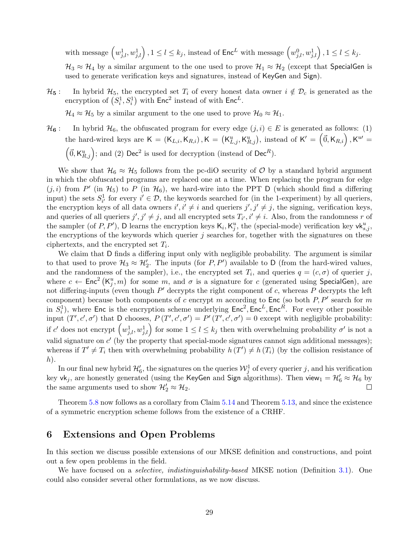with message  $(w_{j,l}^1, w_{j,l}^1), 1 \leq l \leq k_j$ , instead of  $\text{Enc}^L$  with message  $(w_{j,l}^0, w_{j,l}^1), 1 \leq l \leq k_j$ .

 $\mathcal{H}_3 \approx \mathcal{H}_4$  by a similar argument to the one used to prove  $\mathcal{H}_1 \approx \mathcal{H}_2$  (except that SpecialGen is used to generate verification keys and signatures, instead of KeyGen and Sign).

 $\mathcal{H}_5$ : In hybrid  $\mathcal{H}_5$ , the encrypted set  $T_i$  of every honest data owner  $i \notin \mathcal{D}_c$  is generated as the encryption of  $(S_i^1, S_i^1)$  with  $\mathsf{Enc}^2$  instead of with  $\mathsf{Enc}^L$ .

 $\mathcal{H}_4 \approx \mathcal{H}_5$  by a similar argument to the one used to prove  $\mathcal{H}_0 \approx \mathcal{H}_1$ .

 $\mathcal{H}_6$ : In hybrid  $\mathcal{H}_6$ , the obfuscated program for every edge  $(j, i) \in E$  is generated as follows: (1) the hard-wired keys are  $\mathsf{K} = (\mathsf{K}_{L,i}, \mathsf{K}_{R,i})$ ,  $\mathsf{K} = (\mathsf{K}_{L,j}^u, \mathsf{K}_{R,j}^u)$ , instead of  $\mathsf{K}' = (\vec{0}, \mathsf{K}_{R,i})$ ,  $\mathsf{K}^w =$  $(\vec{0}, K_{R,j}^u)$ ; and (2) Dec<sup>2</sup> is used for decryption (instead of Dec<sup>R</sup>).

We show that  $\mathcal{H}_6 \approx \mathcal{H}_5$  follows from the pc-diO security of O by a standard hybrid argument in which the obfuscated programs are replaced one at a time. When replacing the program for edge  $(j, i)$  from P' (in  $H_5$ ) to P (in  $H_6$ ), we hard-wire into the PPT D (which should find a differing input) the sets  $S_{i'}^1$  for every  $i' \in \mathcal{D}$ , the keywords searched for (in the 1-experiment) by all queriers, the encryption keys of all data owners  $i', i' \neq i$  and queriers  $j', j' \neq j$ , the signing, verification keys, and queries of all queriers  $j', j' \neq j$ , and all encrypted sets  $T_{i'}, i' \neq i$ . Also, from the randomness r of the sampler (of P, P'), D learns the encryption keys  $\mathsf{K}_i, \mathsf{K}_j^u$ , the (special-mode) verification key  $\mathsf{vk}_{s,j}^u$ , the encryptions of the keywords which querier  $j$  searches for, together with the signatures on these ciphertexts, and the encrypted set  $T_i$ .

We claim that D finds a differing input only with negligible probability. The argument is similar to that used to prove  $\mathcal{H}_3 \approx \mathcal{H}'_2$ . The inputs (for P, P') available to D (from the hard-wired values, and the randomness of the sampler), i.e., the encrypted set  $T_i$ , and queries  $q = (c, \sigma)$  of querier j, where  $c \leftarrow \text{Enc}^2(\mathsf{K}_j^u, m)$  for some m, and  $\sigma$  is a signature for c (generated using SpecialGen), are not differing-inputs (even though  $P'$  decrypts the right component of c, whereas P decrypts the left component) because both components of c encrypt m according to  $\mathsf{Enc}$  (so both  $P, P'$  search for m in  $S_i^1$ ), where Enc is the encryption scheme underlying  $Enc^2$ , Enc<sup>L</sup>, Enc<sup>R</sup>. For every other possible input  $(T', c', \sigma')$  that D chooses,  $P(T', c', \sigma') = P'(T', c', \sigma') = 0$  except with negligible probability: if c' does not encrypt  $(w_{j,l}^1, w_{j,l}^1)$  for some  $1 \leq l \leq k_j$  then with overwhelming probability  $\sigma'$  is not a valid signature on  $c'$  (by the property that special-mode signatures cannot sign additional messages); whereas if  $T' \neq T_i$  then with overwhelming probability  $h(T') \neq h(T_i)$  (by the collision resistance of  $(h).$ 

In our final new hybrid  $\mathcal{H}'_6$ , the signatures on the queries  $\mathcal{W}^1_j$  of every querier j, and his verification key vk<sub>j</sub>, are honestly generated (using the KeyGen and Sign algorithms). Then view $_1=\mathcal{H}_6'\approx\mathcal{H}_6$  by the same arguments used to show  $\mathcal{H}'_2 \approx \mathcal{H}_2$ .  $\Box$ 

Theorem [5.8](#page-18-2) now follows as a corollary from Claim [5.14](#page-25-2) and Theorem [5.13,](#page-25-1) and since the existence of a symmetric encryption scheme follows from the existence of a CRHF.

### <span id="page-28-0"></span>6 Extensions and Open Problems

In this section we discuss possible extensions of our MKSE definition and constructions, and point out a few open problems in the field.

We have focused on a *selective, indistinguishability-based* MKSE notion (Definition [3.1\)](#page-7-2). One could also consider several other formulations, as we now discuss.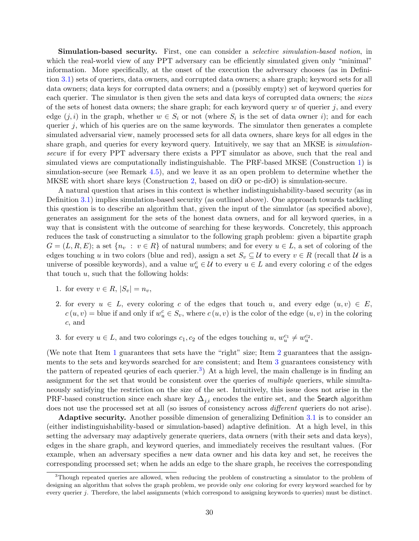Simulation-based security. First, one can consider a *selective simulation-based notion*, in which the real-world view of any PPT adversary can be efficiently simulated given only "minimal" information. More specifically, at the onset of the execution the adversary chooses (as in Definition [3.1\)](#page-7-2) sets of queriers, data owners, and corrupted data owners; a share graph; keyword sets for all data owners; data keys for corrupted data owners; and a (possibly empty) set of keyword queries for each querier. The simulator is then given the sets and data keys of corrupted data owners; the sizes of the sets of honest data owners; the share graph; for each keyword query  $w$  of querier  $j$ , and every edge  $(j, i)$  in the graph, whether  $w \in S_i$  or not (where  $S_i$  is the set of data owner i); and for each querier  $j$ , which of his queries are on the same keywords. The simulator then generates a complete simulated adversarial view, namely processed sets for all data owners, share keys for all edges in the share graph, and queries for every keyword query. Intuitively, we say that an MKSE is *simulation*secure if for every PPT adversary there exists a PPT simulator as above, such that the real and simulated views are computationally indistinguishable. The PRF-based MKSE (Construction [1\)](#page-9-1) is simulation-secure (see Remark [4.5\)](#page-11-0), and we leave it as an open problem to determine whether the MKSE with short share keys (Construction [2,](#page-13-0) based on diO or pc-diO) is simulation-secure.

A natural question that arises in this context is whether indistinguishability-based security (as in Definition [3.1\)](#page-7-2) implies simulation-based security (as outlined above). One approach towards tackling this question is to describe an algorithm that, given the input of the simulator (as specified above), generates an assignment for the sets of the honest data owners, and for all keyword queries, in a way that is consistent with the outcome of searching for these keywords. Concretely, this approach reduces the task of constructing a simulator to the following graph problem: given a bipartite graph  $G = (L, R, E)$ ; a set  $\{n_v : v \in R\}$  of natural numbers; and for every  $u \in L$ , a set of coloring of the edges touching u in two colors (blue and red), assign a set  $S_v \subseteq U$  to every  $v \in R$  (recall that U is a universe of possible keywords), and a value  $w_u^c \in \mathcal{U}$  to every  $u \in L$  and every coloring c of the edges that touch  $u$ , such that the following holds:

- <span id="page-29-0"></span>1. for every  $v \in R$ ,  $|S_v| = n_v$ ,
- <span id="page-29-1"></span>2. for every  $u \in L$ , every coloring c of the edges that touch u, and every edge  $(u, v) \in E$ ,  $c(u, v) =$  blue if and only if  $w_u^c \in S_v$ , where  $c(u, v)$  is the color of the edge  $(u, v)$  in the coloring c, and
- <span id="page-29-2"></span>3. for every  $u \in L$ , and two colorings  $c_1, c_2$  of the edges touching  $u, w_u^{c_1} \neq w_u^{c_2}$ .

(We note that Item [1](#page-29-0) guarantees that sets have the "right" size; Item [2](#page-29-1) guarantees that the assignments to the sets and keywords searched for are consistent; and Item [3](#page-29-2) guarantees consistency with the pattern of repeated qeuries of each querier.<sup>[3](#page-29-3)</sup>) At a high level, the main challenge is in finding an assignment for the set that would be consistent over the queries of *multiple* queriers, while simultaneously satisfying the restriction on the size of the set. Intuitively, this issue does not arise in the PRF-based construction since each share key  $\Delta_{j,i}$  encodes the entire set, and the Search algorithm does not use the processed set at all (so issues of consistency across *different* queriers do not arise).

Adaptive security. Another possible dimension of generalizing Definition [3.1](#page-7-2) is to consider an (either indistinguishability-based or simulation-based) adaptive definition. At a high level, in this setting the adversary may adaptively generate queriers, data owners (with their sets and data keys), edges in the share graph, and keyword queries, and immediately receives the resultant values. (For example, when an adversary specifies a new data owner and his data key and set, he receives the corresponding processed set; when he adds an edge to the share graph, he receives the corresponding

<span id="page-29-3"></span><sup>3</sup>Though repeated queries are allowed, when reducing the problem of constructing a simulator to the problem of designing an algorithm that solves the graph problem, we provide only one coloring for every keyword searched for by every querier j. Therefore, the label assignments (which correspond to assigning keywords to queries) must be distinct.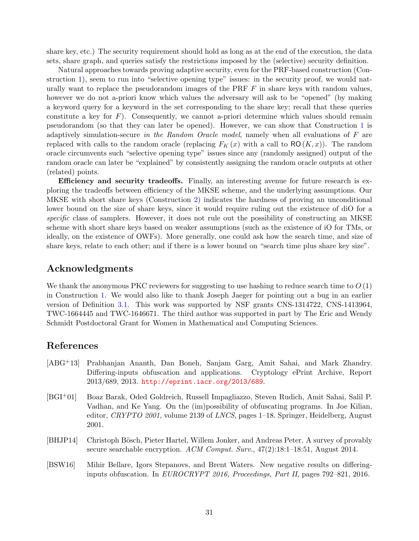share key, etc.) The security requirement should hold as long as at the end of the execution, the data sets, share graph, and queries satisfy the restrictions imposed by the (selective) security definition.

Natural approaches towards proving adaptive security, even for the PRF-based construction (Con-struction [1\)](#page-9-1), seem to run into "selective opening type" issues: in the security proof, we would naturally want to replace the pseudorandom images of the PRF  $F$  in share keys with random values, however we do not a-priori know which values the adversary will ask to be "opened" (by making a keyword query for a keyword in the set corresponding to the share key; recall that these queries constitute a key for  $F$ ). Consequently, we cannot a-priori determine which values should remain pseudorandom (so that they can later be opened). However, we can show that Construction [1](#page-9-1) is adaptively simulation-secure in the Random Oracle model, namely when all evaluations of F are replaced with calls to the random oracle (replacing  $F_K(x)$  with a call to RO  $(K, x)$ ). The random oracle circumvents such "selective opening type" issues since any (randomly assigned) output of the random oracle can later be "explained" by consistently assigning the random oracle outputs at other (related) points.

Efficiency and security tradeoffs. Finally, an interesting avenue for future research is exploring the tradeoffs between efficiency of the MKSE scheme, and the underlying assumptions. Our MKSE with short share keys (Construction [2\)](#page-13-0) indicates the hardness of proving an unconditional lower bound on the size of share keys, since it would require ruling out the existence of diO for a specific class of samplers. However, it does not rule out the possibility of constructing an MKSE scheme with short share keys based on weaker assumptions (such as the existence of iO for TMs, or ideally, on the existence of OWFs). More generally, one could ask how the search time, and size of share keys, relate to each other; and if there is a lower bound on "search time plus share key size".

### Acknowledgments

We thank the anonymous PKC reviewers for suggesting to use hashing to reduce search time to  $O(1)$ in Construction [1.](#page-9-1) We would also like to thank Joseph Jaeger for pointing out a bug in an earlier version of Definition [3.1.](#page-7-2) This work was supported by NSF grants CNS-1314722, CNS-1413964, TWC-1664445 and TWC-1646671. The third author was supported in part by The Eric and Wendy Schmidt Postdoctoral Grant for Women in Mathematical and Computing Sciences.

### References

- <span id="page-30-3"></span>[ABG+13] Prabhanjan Ananth, Dan Boneh, Sanjam Garg, Amit Sahai, and Mark Zhandry. Differing-inputs obfuscation and applications. Cryptology ePrint Archive, Report 2013/689, 2013. <http://eprint.iacr.org/2013/689>.
- <span id="page-30-2"></span>[BGI+01] Boaz Barak, Oded Goldreich, Russell Impagliazzo, Steven Rudich, Amit Sahai, Salil P. Vadhan, and Ke Yang. On the (im)possibility of obfuscating programs. In Joe Kilian, editor, CRYPTO 2001, volume 2139 of LNCS, pages 1–18. Springer, Heidelberg, August 2001.
- <span id="page-30-0"></span>[BHJP14] Christoph Bösch, Pieter Hartel, Willem Jonker, and Andreas Peter. A survey of provably secure searchable encryption. ACM Comput. Surv., 47(2):18:1–18:51, August 2014.
- <span id="page-30-1"></span>[BSW16] Mihir Bellare, Igors Stepanovs, and Brent Waters. New negative results on differinginputs obfuscation. In EUROCRYPT 2016, Proceedings, Part II, pages 792–821, 2016.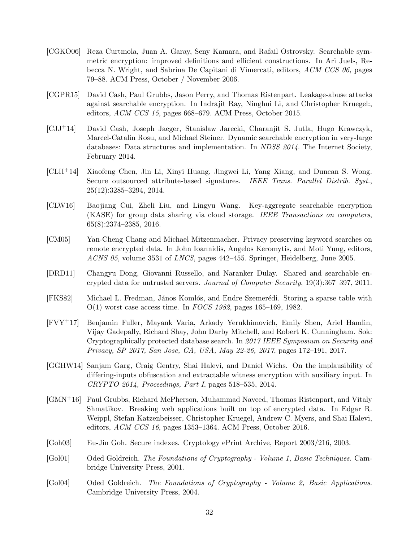- <span id="page-31-2"></span>[CGKO06] Reza Curtmola, Juan A. Garay, Seny Kamara, and Rafail Ostrovsky. Searchable symmetric encryption: improved definitions and efficient constructions. In Ari Juels, Rebecca N. Wright, and Sabrina De Capitani di Vimercati, editors, ACM CCS 06, pages 79–88. ACM Press, October / November 2006.
- <span id="page-31-5"></span>[CGPR15] David Cash, Paul Grubbs, Jason Perry, and Thomas Ristenpart. Leakage-abuse attacks against searchable encryption. In Indrajit Ray, Ninghui Li, and Christopher Kruegel:, editors, ACM CCS 15, pages 668–679. ACM Press, October 2015.
- <span id="page-31-3"></span>[CJJ+14] David Cash, Joseph Jaeger, Stanislaw Jarecki, Charanjit S. Jutla, Hugo Krawczyk, Marcel-Catalin Rosu, and Michael Steiner. Dynamic searchable encryption in very-large databases: Data structures and implementation. In NDSS 2014. The Internet Society, February 2014.
- <span id="page-31-9"></span>[CLH+14] Xiaofeng Chen, Jin Li, Xinyi Huang, Jingwei Li, Yang Xiang, and Duncan S. Wong. Secure outsourced attribute-based signatures. IEEE Trans. Parallel Distrib. Syst., 25(12):3285–3294, 2014.
- <span id="page-31-10"></span>[CLW16] Baojiang Cui, Zheli Liu, and Lingyu Wang. Key-aggregate searchable encryption (KASE) for group data sharing via cloud storage. IEEE Transactions on computers, 65(8):2374–2385, 2016.
- <span id="page-31-1"></span>[CM05] Yan-Cheng Chang and Michael Mitzenmacher. Privacy preserving keyword searches on remote encrypted data. In John Ioannidis, Angelos Keromytis, and Moti Yung, editors, ACNS 05, volume 3531 of LNCS, pages 442–455. Springer, Heidelberg, June 2005.
- <span id="page-31-8"></span>[DRD11] Changyu Dong, Giovanni Russello, and Naranker Dulay. Shared and searchable encrypted data for untrusted servers. Journal of Computer Security, 19(3):367–397, 2011.
- <span id="page-31-6"></span>[FKS82] Michael L. Fredman, János Komlós, and Endre Szemerédi. Storing a sparse table with  $O(1)$  worst case access time. In *FOCS 1982*, pages 165–169, 1982.
- <span id="page-31-7"></span>[FVY+17] Benjamin Fuller, Mayank Varia, Arkady Yerukhimovich, Emily Shen, Ariel Hamlin, Vijay Gadepally, Richard Shay, John Darby Mitchell, and Robert K. Cunningham. Sok: Cryptographically protected database search. In 2017 IEEE Symposium on Security and Privacy, SP 2017, San Jose, CA, USA, May 22-26, 2017, pages 172–191, 2017.
- <span id="page-31-13"></span>[GGHW14] Sanjam Garg, Craig Gentry, Shai Halevi, and Daniel Wichs. On the implausibility of differing-inputs obfuscation and extractable witness encryption with auxiliary input. In CRYPTO 2014, Proceedings, Part I, pages 518–535, 2014.
- <span id="page-31-4"></span>[GMN+16] Paul Grubbs, Richard McPherson, Muhammad Naveed, Thomas Ristenpart, and Vitaly Shmatikov. Breaking web applications built on top of encrypted data. In Edgar R. Weippl, Stefan Katzenbeisser, Christopher Kruegel, Andrew C. Myers, and Shai Halevi, editors, ACM CCS 16, pages 1353–1364. ACM Press, October 2016.
- <span id="page-31-0"></span>[Goh03] Eu-Jin Goh. Secure indexes. Cryptology ePrint Archive, Report 2003/216, 2003.
- <span id="page-31-11"></span>[Gol01] Oded Goldreich. The Foundations of Cryptography - Volume 1, Basic Techniques. Cambridge University Press, 2001.
- <span id="page-31-12"></span>[Gol04] Oded Goldreich. The Foundations of Cryptography - Volume 2, Basic Applications. Cambridge University Press, 2004.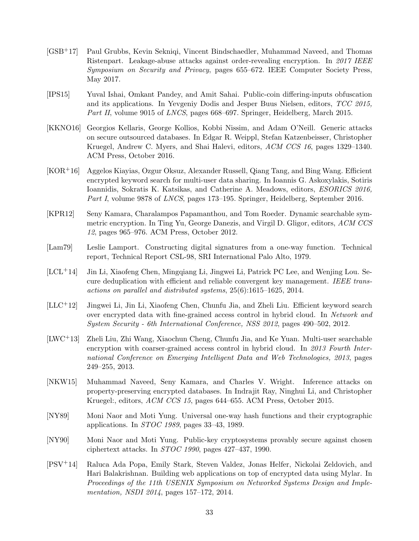- <span id="page-32-6"></span>[GSB+17] Paul Grubbs, Kevin Sekniqi, Vincent Bindschaedler, Muhammad Naveed, and Thomas Ristenpart. Leakage-abuse attacks against order-revealing encryption. In 2017 IEEE Symposium on Security and Privacy, pages 655–672. IEEE Computer Society Press, May 2017.
- <span id="page-32-5"></span>[IPS15] Yuval Ishai, Omkant Pandey, and Amit Sahai. Public-coin differing-inputs obfuscation and its applications. In Yevgeniy Dodis and Jesper Buus Nielsen, editors, TCC 2015, Part II, volume 9015 of LNCS, pages 668–697. Springer, Heidelberg, March 2015.
- <span id="page-32-2"></span>[KKNO16] Georgios Kellaris, George Kollios, Kobbi Nissim, and Adam O'Neill. Generic attacks on secure outsourced databases. In Edgar R. Weippl, Stefan Katzenbeisser, Christopher Kruegel, Andrew C. Myers, and Shai Halevi, editors, ACM CCS 16, pages 1329–1340. ACM Press, October 2016.
- <span id="page-32-4"></span>[KOR+16] Aggelos Kiayias, Ozgur Oksuz, Alexander Russell, Qiang Tang, and Bing Wang. Efficient encrypted keyword search for multi-user data sharing. In Ioannis G. Askoxylakis, Sotiris Ioannidis, Sokratis K. Katsikas, and Catherine A. Meadows, editors, ESORICS 2016, Part I, volume 9878 of LNCS, pages 173–195. Springer, Heidelberg, September 2016.
- <span id="page-32-0"></span>[KPR12] Seny Kamara, Charalampos Papamanthou, and Tom Roeder. Dynamic searchable symmetric encryption. In Ting Yu, George Danezis, and Virgil D. Gligor, editors, ACM CCS 12, pages 965–976. ACM Press, October 2012.
- <span id="page-32-11"></span>[Lam79] Leslie Lamport. Constructing digital signatures from a one-way function. Technical report, Technical Report CSL-98, SRI International Palo Alto, 1979.
- <span id="page-32-9"></span>[LCL+14] Jin Li, Xiaofeng Chen, Mingqiang Li, Jingwei Li, Patrick PC Lee, and Wenjing Lou. Secure deduplication with efficient and reliable convergent key management. IEEE transactions on parallel and distributed systems, 25(6):1615–1625, 2014.
- <span id="page-32-7"></span>[LLC+12] Jingwei Li, Jin Li, Xiaofeng Chen, Chunfu Jia, and Zheli Liu. Efficient keyword search over encrypted data with fine-grained access control in hybrid cloud. In Network and System Security - 6th International Conference, NSS 2012, pages 490–502, 2012.
- <span id="page-32-8"></span>[LWC+13] Zheli Liu, Zhi Wang, Xiaochun Cheng, Chunfu Jia, and Ke Yuan. Multi-user searchable encryption with coarser-grained access control in hybrid cloud. In 2013 Fourth International Conference on Emerging Intelligent Data and Web Technologies, 2013, pages 249–255, 2013.
- <span id="page-32-1"></span>[NKW15] Muhammad Naveed, Seny Kamara, and Charles V. Wright. Inference attacks on property-preserving encrypted databases. In Indrajit Ray, Ninghui Li, and Christopher Kruegel:, editors, ACM CCS 15, pages 644–655. ACM Press, October 2015.
- <span id="page-32-12"></span>[NY89] Moni Naor and Moti Yung. Universal one-way hash functions and their cryptographic applications. In STOC 1989, pages 33–43, 1989.
- <span id="page-32-10"></span>[NY90] Moni Naor and Moti Yung. Public-key cryptosystems provably secure against chosen ciphertext attacks. In STOC 1990, pages 427–437, 1990.
- <span id="page-32-3"></span>[PSV+14] Raluca Ada Popa, Emily Stark, Steven Valdez, Jonas Helfer, Nickolai Zeldovich, and Hari Balakrishnan. Building web applications on top of encrypted data using Mylar. In Proceedings of the 11th USENIX Symposium on Networked Systems Design and Implementation, NSDI 2014, pages 157–172, 2014.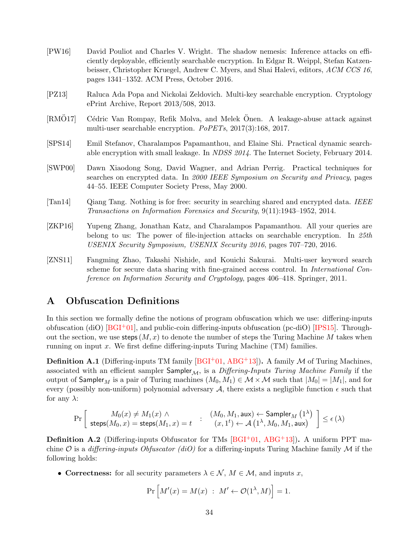- <span id="page-33-7"></span>[PW16] David Pouliot and Charles V. Wright. The shadow nemesis: Inference attacks on efficiently deployable, efficiently searchable encryption. In Edgar R. Weippl, Stefan Katzenbeisser, Christopher Kruegel, Andrew C. Myers, and Shai Halevi, editors, ACM CCS 16, pages 1341–1352. ACM Press, October 2016.
- <span id="page-33-4"></span>[PZ13] Raluca Ada Popa and Nickolai Zeldovich. Multi-key searchable encryption. Cryptology ePrint Archive, Report 2013/508, 2013.
- <span id="page-33-5"></span>[RMO17] Cédric Van Rompay, Refik Molva, and Melek Onen. A leakage-abuse attack against multi-user searchable encryption. PoPETs, 2017(3):168, 2017.
- <span id="page-33-2"></span>[SPS14] Emil Stefanov, Charalampos Papamanthou, and Elaine Shi. Practical dynamic searchable encryption with small leakage. In NDSS 2014. The Internet Society, February 2014.
- <span id="page-33-1"></span>[SWP00] Dawn Xiaodong Song, David Wagner, and Adrian Perrig. Practical techniques for searches on encrypted data. In 2000 IEEE Symposium on Security and Privacy, pages 44–55. IEEE Computer Society Press, May 2000.
- <span id="page-33-6"></span>[Tan14] Qiang Tang. Nothing is for free: security in searching shared and encrypted data. IEEE Transactions on Information Forensics and Security, 9(11):1943–1952, 2014.
- <span id="page-33-3"></span>[ZKP16] Yupeng Zhang, Jonathan Katz, and Charalampos Papamanthou. All your queries are belong to us: The power of file-injection attacks on searchable encryption. In 25th USENIX Security Symposium, USENIX Security 2016, pages 707–720, 2016.
- <span id="page-33-8"></span>[ZNS11] Fangming Zhao, Takashi Nishide, and Kouichi Sakurai. Multi-user keyword search scheme for secure data sharing with fine-grained access control. In International Conference on Information Security and Cryptology, pages 406–418. Springer, 2011.

## <span id="page-33-0"></span>A Obfuscation Definitions

In this section we formally define the notions of program obfuscation which we use: differing-inputs obfuscation (diO)  $[{\rm BGI^+01}]$ , and public-coin differing-inputs obfuscation (pc-diO)  $[{\rm IPS15}]$ . Throughout the section, we use steps  $(M, x)$  to denote the number of steps the Turing Machine M takes when running on input  $x$ . We first define differing-inputs Turing Machine (TM) families.

<span id="page-33-9"></span>**Definition A.1** (Differing-inputs TM family  $[BGI^+01, ABG^+13]$  $[BGI^+01, ABG^+13]$  $[BGI^+01, ABG^+13]$  $[BGI^+01, ABG^+13]$ ). A family M of Turing Machines, associated with an efficient sampler  $S$ ampler $\mathcal{M}$ , is a Differing-Inputs Turing Machine Family if the output of Sampler<sub>M</sub> is a pair of Turing machines  $(M_0, M_1) \in \mathcal{M} \times \mathcal{M}$  such that  $|M_0| = |M_1|$ , and for every (possibly non-uniform) polynomial adversary  $A$ , there exists a negligible function  $\epsilon$  such that for any  $\lambda$ :

$$
\Pr\left[\begin{array}{cc} M_0(x)\neq M_1(x)\,\wedge\, & (M_0,M_1,\mathsf{aux})\leftarrow\mathsf{Sampler}_M\left(1^{\lambda}\right)\\ \mathsf{steps}(M_0,x)=\mathsf{steps}(M_1,x)=t & (x,1^t)\leftarrow\mathcal{A}\left(1^{\lambda},M_0,M_1,\mathsf{aux}\right) \end{array}\right]\leq\epsilon\left(\lambda\right)
$$

**Definition A.2** (Differing-inputs Obfuscator for TMs  $[{\rm BGI^+01, ABG^+13}]$  $[{\rm BGI^+01, ABG^+13}]$  $[{\rm BGI^+01, ABG^+13}]$ ). A uniform PPT machine O is a differing-inputs Obfuscator (diO) for a differing-inputs Turing Machine family M if the following holds:

• Correctness: for all security parameters  $\lambda \in \mathcal{N}$ ,  $M \in \mathcal{M}$ , and inputs x,

$$
\Pr\left[M'(x) = M(x) : M' \leftarrow \mathcal{O}(1^{\lambda}, M)\right] = 1.
$$